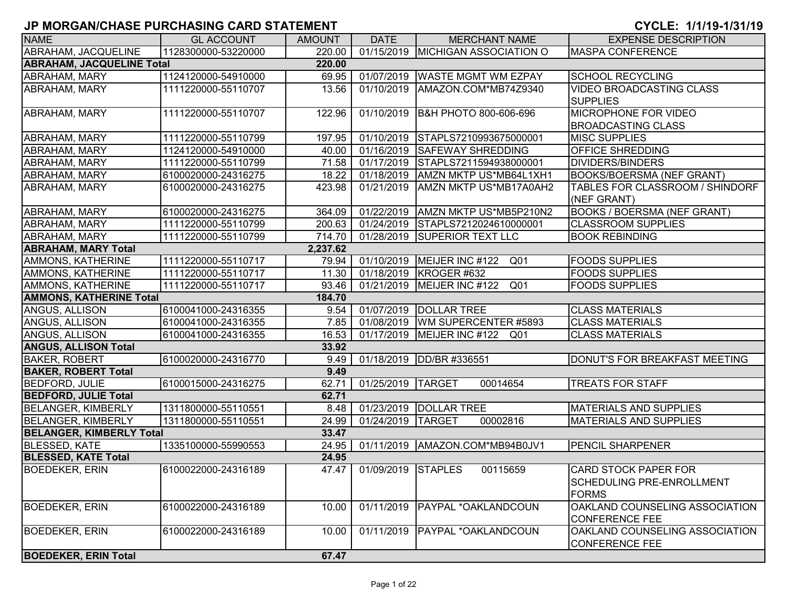| <b>NAME</b>                      | <b>GL ACCOUNT</b>   | <b>AMOUNT</b> | <b>DATE</b>        | <b>MERCHANT NAME</b>                | <b>EXPENSE DESCRIPTION</b>                                      |
|----------------------------------|---------------------|---------------|--------------------|-------------------------------------|-----------------------------------------------------------------|
| ABRAHAM, JACQUELINE              | 1128300000-53220000 | 220.00        |                    | 01/15/2019 MICHIGAN ASSOCIATION O   | <b>MASPA CONFERENCE</b>                                         |
| <b>ABRAHAM, JACQUELINE Total</b> |                     | 220.00        |                    |                                     |                                                                 |
| ABRAHAM, MARY                    | 1124120000-54910000 | 69.95         | 01/07/2019         | <b>WASTE MGMT WM EZPAY</b>          | <b>SCHOOL RECYCLING</b>                                         |
| ABRAHAM, MARY                    | 1111220000-55110707 | 13.56         | 01/10/2019         | AMAZON.COM*MB74Z9340                | <b>VIDEO BROADCASTING CLASS</b>                                 |
|                                  |                     |               |                    |                                     | <b>SUPPLIES</b>                                                 |
| <b>ABRAHAM, MARY</b>             | 1111220000-55110707 | 122.96        | 01/10/2019         | B&H PHOTO 800-606-696               | MICROPHONE FOR VIDEO                                            |
|                                  |                     |               |                    |                                     | <b>BROADCASTING CLASS</b>                                       |
| ABRAHAM, MARY                    | 1111220000-55110799 | 197.95        | 01/10/2019         | STAPLS7210993675000001              | <b>MISC SUPPLIES</b>                                            |
| ABRAHAM, MARY                    | 1124120000-54910000 | 40.00         |                    | 01/16/2019 SAFEWAY SHREDDING        | <b>OFFICE SHREDDING</b>                                         |
| ABRAHAM, MARY                    | 1111220000-55110799 | 71.58         | 01/17/2019         | STAPLS7211594938000001              | <b>DIVIDERS/BINDERS</b>                                         |
| ABRAHAM, MARY                    | 6100020000-24316275 | 18.22         | 01/18/2019         | AMZN MKTP US*MB64L1XH1              | <b>BOOKS/BOERSMA (NEF GRANT)</b>                                |
| ABRAHAM, MARY                    | 6100020000-24316275 | 423.98        | 01/21/2019         | AMZN MKTP US*MB17A0AH2              | TABLES FOR CLASSROOM / SHINDORF                                 |
|                                  |                     |               |                    |                                     | (NEF GRANT)                                                     |
| <b>ABRAHAM, MARY</b>             | 6100020000-24316275 | 364.09        | 01/22/2019         | AMZN MKTP US*MB5P210N2              | <b>BOOKS / BOERSMA (NEF GRANT)</b>                              |
| ABRAHAM, MARY                    | 1111220000-55110799 | 200.63        | 01/24/2019         | STAPLS7212024610000001              | <b>CLASSROOM SUPPLIES</b>                                       |
| ABRAHAM, MARY                    | 1111220000-55110799 | 714.70        | 01/28/2019         | <b>SUPERIOR TEXT LLC</b>            | <b>BOOK REBINDING</b>                                           |
| <b>ABRAHAM, MARY Total</b>       |                     | 2,237.62      |                    |                                     |                                                                 |
| AMMONS, KATHERINE                | 1111220000-55110717 | 79.94         |                    | 01/10/2019   MEIJER INC #122<br>Q01 | <b>FOODS SUPPLIES</b>                                           |
| AMMONS, KATHERINE                | 1111220000-55110717 | 11.30         |                    | 01/18/2019 KROGER #632              | <b>FOODS SUPPLIES</b>                                           |
| AMMONS, KATHERINE                | 1111220000-55110717 | 93.46         |                    | 01/21/2019   MEIJER INC #122<br>Q01 | <b>FOODS SUPPLIES</b>                                           |
| <b>AMMONS, KATHERINE Total</b>   |                     | 184.70        |                    |                                     |                                                                 |
| ANGUS, ALLISON                   | 6100041000-24316355 | 9.54          |                    | 01/07/2019 DOLLAR TREE              | <b>CLASS MATERIALS</b>                                          |
| ANGUS, ALLISON                   | 6100041000-24316355 | 7.85          |                    | 01/08/2019 WM SUPERCENTER #5893     | <b>CLASS MATERIALS</b>                                          |
| <b>ANGUS, ALLISON</b>            | 6100041000-24316355 | 16.53         | 01/17/2019         | MEIJER INC #122 Q01                 | <b>CLASS MATERIALS</b>                                          |
| <b>ANGUS, ALLISON Total</b>      |                     | 33.92         |                    |                                     |                                                                 |
| <b>BAKER, ROBERT</b>             | 6100020000-24316770 | 9.49          | 01/18/2019         | DD/BR #336551                       | DONUT'S FOR BREAKFAST MEETING                                   |
| <b>BAKER, ROBERT Total</b>       |                     | 9.49          |                    |                                     |                                                                 |
| <b>BEDFORD, JULIE</b>            | 6100015000-24316275 | 62.71         | 01/25/2019 TARGET  | 00014654                            | <b>TREATS FOR STAFF</b>                                         |
| <b>BEDFORD, JULIE Total</b>      |                     | 62.71         |                    |                                     |                                                                 |
| <b>BELANGER, KIMBERLY</b>        | 1311800000-55110551 | 8.48          |                    | 01/23/2019   DOLLAR TREE            | <b>MATERIALS AND SUPPLIES</b>                                   |
| <b>BELANGER, KIMBERLY</b>        | 1311800000-55110551 | 24.99         | 01/24/2019 TARGET  | 00002816                            | <b>MATERIALS AND SUPPLIES</b>                                   |
| <b>BELANGER, KIMBERLY Total</b>  |                     | 33.47         |                    |                                     |                                                                 |
| <b>BLESSED, KATE</b>             | 1335100000-55990553 | 24.95         |                    | 01/11/2019   AMAZON.COM*MB94B0JV1   | <b>PENCIL SHARPENER</b>                                         |
| <b>BLESSED, KATE Total</b>       |                     | 24.95         |                    |                                     |                                                                 |
| <b>BOEDEKER, ERIN</b>            | 6100022000-24316189 | 47.47         | 01/09/2019 STAPLES | 00115659                            | <b>CARD STOCK PAPER FOR</b><br><b>SCHEDULING PRE-ENROLLMENT</b> |
|                                  |                     |               |                    |                                     | <b>FORMS</b>                                                    |
| <b>BOEDEKER, ERIN</b>            | 6100022000-24316189 | 10.00         | 01/11/2019         | <b>PAYPAL *OAKLANDCOUN</b>          | OAKLAND COUNSELING ASSOCIATION                                  |
|                                  |                     |               |                    |                                     | <b>CONFERENCE FEE</b>                                           |
| <b>BOEDEKER, ERIN</b>            | 6100022000-24316189 | 10.00         | 01/11/2019         | <b>PAYPAL *OAKLANDCOUN</b>          | OAKLAND COUNSELING ASSOCIATION<br><b>CONFERENCE FEE</b>         |
| <b>BOEDEKER, ERIN Total</b>      |                     | 67.47         |                    |                                     |                                                                 |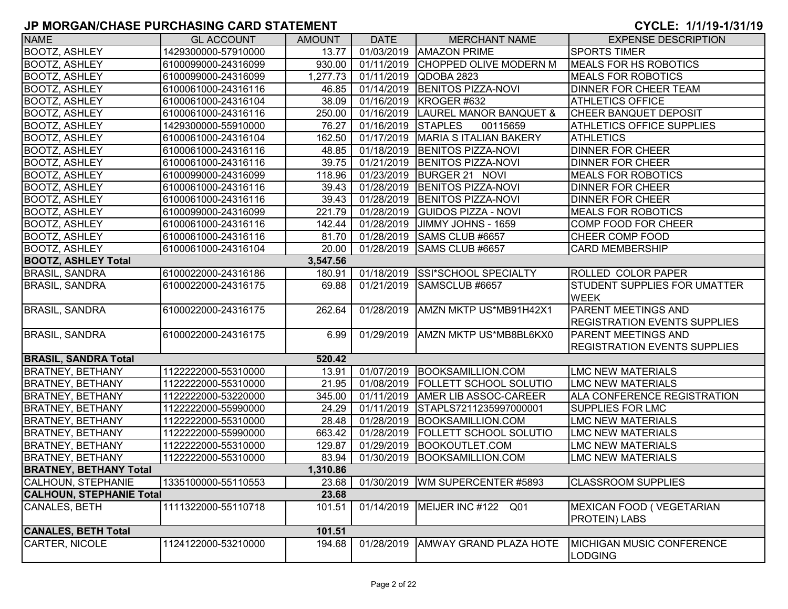| <b>NAME</b>                     | <b>GL ACCOUNT</b>   | <b>AMOUNT</b> | <b>DATE</b>        | <b>MERCHANT NAME</b>                | <b>EXPENSE DESCRIPTION</b>                         |
|---------------------------------|---------------------|---------------|--------------------|-------------------------------------|----------------------------------------------------|
| <b>BOOTZ, ASHLEY</b>            | 1429300000-57910000 | 13.77         |                    | 01/03/2019   AMAZON PRIME           | <b>SPORTS TIMER</b>                                |
| <b>BOOTZ, ASHLEY</b>            | 6100099000-24316099 | 930.00        |                    | 01/11/2019 CHOPPED OLIVE MODERN M   | MEALS FOR HS ROBOTICS                              |
| <b>BOOTZ, ASHLEY</b>            | 6100099000-24316099 | 1,277.73      |                    | 01/11/2019 QDOBA 2823               | <b>MEALS FOR ROBOTICS</b>                          |
| <b>BOOTZ, ASHLEY</b>            | 6100061000-24316116 | 46.85         |                    | 01/14/2019 BENITOS PIZZA-NOVI       | DINNER FOR CHEER TEAM                              |
| <b>BOOTZ, ASHLEY</b>            | 6100061000-24316104 | 38.09         |                    | 01/16/2019   KROGER #632            | <b>ATHLETICS OFFICE</b>                            |
| <b>BOOTZ, ASHLEY</b>            | 6100061000-24316116 | 250.00        |                    | 01/16/2019 LAUREL MANOR BANQUET &   | <b>CHEER BANQUET DEPOSIT</b>                       |
| <b>BOOTZ, ASHLEY</b>            | 1429300000-55910000 | 76.27         | 01/16/2019 STAPLES | 00115659                            | ATHLETICS OFFICE SUPPLIES                          |
| <b>BOOTZ, ASHLEY</b>            | 6100061000-24316104 | 162.50        |                    | 01/17/2019   MARIA S ITALIAN BAKERY | <b>ATHLETICS</b>                                   |
| <b>BOOTZ, ASHLEY</b>            | 6100061000-24316116 | 48.85         |                    | 01/18/2019 BENITOS PIZZA-NOVI       | <b>DINNER FOR CHEER</b>                            |
| <b>BOOTZ, ASHLEY</b>            | 6100061000-24316116 | 39.75         | 01/21/2019         | <b>BENITOS PIZZA-NOVI</b>           | <b>DINNER FOR CHEER</b>                            |
| <b>BOOTZ, ASHLEY</b>            | 6100099000-24316099 | 118.96        | 01/23/2019         | BURGER 21 NOVI                      | <b>MEALS FOR ROBOTICS</b>                          |
| <b>BOOTZ, ASHLEY</b>            | 6100061000-24316116 | 39.43         | 01/28/2019         | <b>BENITOS PIZZA-NOVI</b>           | <b>DINNER FOR CHEER</b>                            |
| <b>BOOTZ, ASHLEY</b>            | 6100061000-24316116 | 39.43         | 01/28/2019         | <b>BENITOS PIZZA-NOVI</b>           | <b>DINNER FOR CHEER</b>                            |
| <b>BOOTZ, ASHLEY</b>            | 6100099000-24316099 | 221.79        | 01/28/2019         | <b>GUIDOS PIZZA - NOVI</b>          | <b>MEALS FOR ROBOTICS</b>                          |
| <b>BOOTZ, ASHLEY</b>            | 6100061000-24316116 | 142.44        | 01/28/2019         | JIMMY JOHNS - 1659                  | COMP FOOD FOR CHEER                                |
| <b>BOOTZ, ASHLEY</b>            | 6100061000-24316116 | 81.70         | 01/28/2019         | <b>SAMS CLUB #6657</b>              | CHEER COMP FOOD                                    |
| <b>BOOTZ, ASHLEY</b>            | 6100061000-24316104 | 20.00         |                    | 01/28/2019 SAMS CLUB #6657          | <b>CARD MEMBERSHIP</b>                             |
| <b>BOOTZ, ASHLEY Total</b>      |                     | 3,547.56      |                    |                                     |                                                    |
| <b>BRASIL, SANDRA</b>           | 6100022000-24316186 | 180.91        | 01/18/2019         | <b>SSI*SCHOOL SPECIALTY</b>         | <b>ROLLED COLOR PAPER</b>                          |
| <b>BRASIL, SANDRA</b>           | 6100022000-24316175 | 69.88         | 01/21/2019         | SAMSCLUB #6657                      | <b>STUDENT SUPPLIES FOR UMATTER</b><br><b>WEEK</b> |
| <b>BRASIL, SANDRA</b>           | 6100022000-24316175 | 262.64        | 01/28/2019         | AMZN MKTP US*MB91H42X1              | PARENT MEETINGS AND                                |
|                                 |                     |               |                    |                                     | <b>REGISTRATION EVENTS SUPPLIES</b>                |
| <b>BRASIL, SANDRA</b>           | 6100022000-24316175 | 6.99          |                    | 01/29/2019   AMZN MKTP US*MB8BL6KX0 | PARENT MEETINGS AND                                |
|                                 |                     |               |                    |                                     | <b>REGISTRATION EVENTS SUPPLIES</b>                |
| <b>BRASIL, SANDRA Total</b>     |                     | 520.42        |                    |                                     |                                                    |
| <b>BRATNEY, BETHANY</b>         | 1122222000-55310000 | 13.91         |                    | 01/07/2019 BOOKSAMILLION.COM        | <b>LMC NEW MATERIALS</b>                           |
| <b>BRATNEY, BETHANY</b>         | 1122222000-55310000 | 21.95         |                    | 01/08/2019   FOLLETT SCHOOL SOLUTIO | <b>LMC NEW MATERIALS</b>                           |
| <b>BRATNEY, BETHANY</b>         | 1122222000-53220000 | 345.00        | 01/11/2019         | <b>AMER LIB ASSOC-CAREER</b>        | ALA CONFERENCE REGISTRATION                        |
| <b>BRATNEY, BETHANY</b>         | 1122222000-55990000 | 24.29         | 01/11/2019         | STAPLS7211235997000001              | SUPPLIES FOR LMC                                   |
| <b>BRATNEY, BETHANY</b>         | 1122222000-55310000 | 28.48         | 01/28/2019         | BOOKSAMILLION.COM                   | <b>LMC NEW MATERIALS</b>                           |
| <b>BRATNEY, BETHANY</b>         | 1122222000-55990000 | 663.42        | 01/28/2019         | <b>FOLLETT SCHOOL SOLUTIO</b>       | <b>LMC NEW MATERIALS</b>                           |
| <b>BRATNEY, BETHANY</b>         | 1122222000-55310000 | 129.87        | 01/29/2019         | BOOKOUTLET.COM                      | <b>LMC NEW MATERIALS</b>                           |
| <b>BRATNEY, BETHANY</b>         | 1122222000-55310000 | 83.94         |                    | 01/30/2019 BOOKSAMILLION.COM        | <b>LMC NEW MATERIALS</b>                           |
| <b>BRATNEY, BETHANY Total</b>   |                     | 1,310.86      |                    |                                     |                                                    |
| <b>CALHOUN, STEPHANIE</b>       | 1335100000-55110553 | 23.68         |                    | 01/30/2019   WM SUPERCENTER #5893   | <b>CLASSROOM SUPPLIES</b>                          |
| <b>CALHOUN, STEPHANIE Total</b> |                     | 23.68         |                    |                                     |                                                    |
| CANALES, BETH                   | 1111322000-55110718 | 101.51        |                    | 01/14/2019   MEIJER INC #122 Q01    | MEXICAN FOOD (VEGETARIAN<br><b>PROTEIN) LABS</b>   |
| <b>CANALES, BETH Total</b>      |                     | 101.51        |                    |                                     |                                                    |
| CARTER, NICOLE                  | 1124122000-53210000 | 194.68        | 01/28/2019         | <b>AMWAY GRAND PLAZA HOTE</b>       | <b>MICHIGAN MUSIC CONFERENCE</b><br><b>LODGING</b> |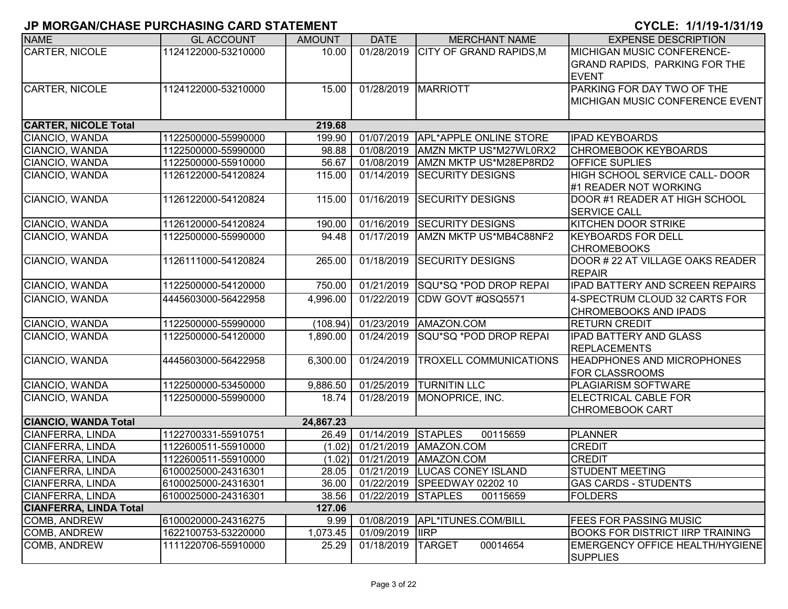| <b>NAME</b>                   | <b>GL ACCOUNT</b>   | <b>AMOUNT</b> | <b>DATE</b>        | <b>MERCHANT NAME</b>              | <b>EXPENSE DESCRIPTION</b>              |
|-------------------------------|---------------------|---------------|--------------------|-----------------------------------|-----------------------------------------|
| <b>CARTER, NICOLE</b>         | 1124122000-53210000 | 10.00         | 01/28/2019         | <b>CITY OF GRAND RAPIDS, M</b>    | <b>MICHIGAN MUSIC CONFERENCE-</b>       |
|                               |                     |               |                    |                                   | GRAND RAPIDS, PARKING FOR THE           |
|                               |                     |               |                    |                                   | <b>EVENT</b>                            |
| <b>CARTER, NICOLE</b>         | 1124122000-53210000 | 15.00         |                    | 01/28/2019 MARRIOTT               | PARKING FOR DAY TWO OF THE              |
|                               |                     |               |                    |                                   | MICHIGAN MUSIC CONFERENCE EVENT         |
|                               |                     |               |                    |                                   |                                         |
| <b>CARTER, NICOLE Total</b>   |                     | 219.68        |                    |                                   |                                         |
| CIANCIO, WANDA                | 1122500000-55990000 | 199.90        | 01/07/2019         | APL*APPLE ONLINE STORE            | <b>IPAD KEYBOARDS</b>                   |
| CIANCIO, WANDA                | 1122500000-55990000 | 98.88         | 01/08/2019         | AMZN MKTP US*M27WL0RX2            | <b>CHROMEBOOK KEYBOARDS</b>             |
| CIANCIO, WANDA                | 1122500000-55910000 | 56.67         | 01/08/2019         | AMZN MKTP US*M28EP8RD2            | OFFICE SUPLIES                          |
| CIANCIO, WANDA                | 1126122000-54120824 | 115.00        | 01/14/2019         | <b>SECURITY DESIGNS</b>           | HIGH SCHOOL SERVICE CALL- DOOR          |
|                               |                     |               |                    |                                   | #1 READER NOT WORKING                   |
| CIANCIO, WANDA                | 1126122000-54120824 | 115.00        | 01/16/2019         | <b>SECURITY DESIGNS</b>           | DOOR #1 READER AT HIGH SCHOOL           |
|                               |                     |               |                    |                                   | <b>SERVICE CALL</b>                     |
| CIANCIO, WANDA                | 1126120000-54120824 | 190.00        |                    | 01/16/2019 SECURITY DESIGNS       | KITCHEN DOOR STRIKE                     |
| CIANCIO, WANDA                | 1122500000-55990000 | 94.48         | 01/17/2019         | AMZN MKTP US*MB4C88NF2            | <b>KEYBOARDS FOR DELL</b>               |
|                               |                     |               |                    |                                   | <b>CHROMEBOOKS</b>                      |
| CIANCIO, WANDA                | 1126111000-54120824 | 265.00        | 01/18/2019         | <b>SECURITY DESIGNS</b>           | DOOR # 22 AT VILLAGE OAKS READER        |
|                               |                     |               |                    |                                   | <b>REPAIR</b>                           |
| CIANCIO, WANDA                | 1122500000-54120000 | 750.00        |                    | 01/21/2019 SQU*SQ *POD DROP REPAI | <b>IPAD BATTERY AND SCREEN REPAIRS</b>  |
| CIANCIO, WANDA                | 4445603000-56422958 | 4,996.00      | 01/22/2019         | CDW GOVT #QSQ5571                 | 4-SPECTRUM CLOUD 32 CARTS FOR           |
|                               |                     |               |                    |                                   | <b>CHROMEBOOKS AND IPADS</b>            |
| CIANCIO, WANDA                | 1122500000-55990000 | (108.94)      |                    | 01/23/2019   AMAZON.COM           | <b>RETURN CREDIT</b>                    |
| CIANCIO, WANDA                | 1122500000-54120000 | 1,890.00      | 01/24/2019         | SQU*SQ *POD DROP REPAI            | <b>IPAD BATTERY AND GLASS</b>           |
|                               |                     |               |                    |                                   | <b>REPLACEMENTS</b>                     |
| CIANCIO, WANDA                | 4445603000-56422958 | 6,300.00      | 01/24/2019         | <b>TROXELL COMMUNICATIONS</b>     | <b>HEADPHONES AND MICROPHONES</b>       |
|                               |                     |               |                    |                                   | <b>FOR CLASSROOMS</b>                   |
| CIANCIO, WANDA                | 1122500000-53450000 | 9,886.50      |                    | 01/25/2019 TURNITIN LLC           | PLAGIARISM SOFTWARE                     |
| CIANCIO, WANDA                | 1122500000-55990000 | 18.74         |                    | 01/28/2019 MONOPRICE, INC.        | <b>ELECTRICAL CABLE FOR</b>             |
|                               |                     |               |                    |                                   | <b>CHROMEBOOK CART</b>                  |
| <b>CIANCIO, WANDA Total</b>   |                     | 24,867.23     |                    |                                   |                                         |
| CIANFERRA, LINDA              | 1122700331-55910751 | 26.49         | 01/14/2019         | <b>STAPLES</b><br>00115659        | <b>PLANNER</b>                          |
| CIANFERRA, LINDA              | 1122600511-55910000 | (1.02)        | 01/21/2019         | AMAZON.COM                        | <b>CREDIT</b>                           |
| CIANFERRA, LINDA              | 1122600511-55910000 | (1.02)        | 01/21/2019         | AMAZON.COM                        | <b>CREDIT</b>                           |
| <b>CIANFERRA, LINDA</b>       | 6100025000-24316301 | 28.05         |                    | 01/21/2019 LUCAS CONEY ISLAND     | <b>STUDENT MEETING</b>                  |
| CIANFERRA, LINDA              | 6100025000-24316301 | 36.00         |                    | 01/22/2019 SPEEDWAY 02202 10      | <b>GAS CARDS - STUDENTS</b>             |
| <b>CIANFERRA, LINDA</b>       | 6100025000-24316301 | 38.56         | 01/22/2019 STAPLES | 00115659                          | <b>FOLDERS</b>                          |
| <b>CIANFERRA, LINDA Total</b> |                     | 127.06        |                    |                                   |                                         |
| COMB, ANDREW                  | 6100020000-24316275 | 9.99          |                    | 01/08/2019 APL*ITUNES.COM/BILL    | <b>FEES FOR PASSING MUSIC</b>           |
| <b>COMB, ANDREW</b>           | 1622100753-53220000 | 1,073.45      | 01/09/2019  IRP    |                                   | <b>BOOKS FOR DISTRICT IIRP TRAINING</b> |
| COMB, ANDREW                  | 1111220706-55910000 | 25.29         | 01/18/2019         | <b>TARGET</b><br>00014654         | <b>EMERGENCY OFFICE HEALTH/HYGIENE</b>  |
|                               |                     |               |                    |                                   | <b>SUPPLIES</b>                         |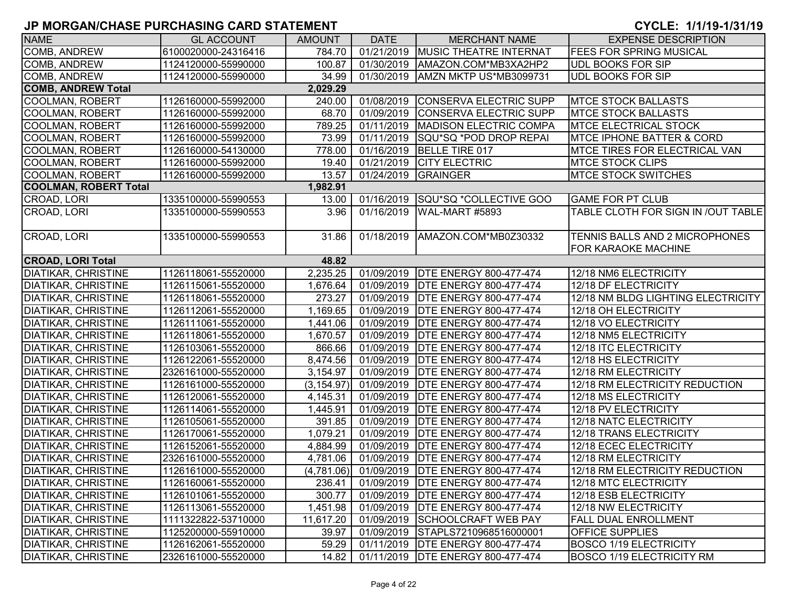| <b>NAME</b>                  | <b>GL ACCOUNT</b>   | <b>AMOUNT</b> | <b>DATE</b>             | <b>MERCHANT NAME</b>                | <b>EXPENSE DESCRIPTION</b>           |
|------------------------------|---------------------|---------------|-------------------------|-------------------------------------|--------------------------------------|
| COMB, ANDREW                 | 6100020000-24316416 | 784.70        |                         | 01/21/2019 MUSIC THEATRE INTERNAT   | <b>FEES FOR SPRING MUSICAL</b>       |
| COMB, ANDREW                 | 1124120000-55990000 | 100.87        | 01/30/2019              | AMAZON.COM*MB3XA2HP2                | <b>UDL BOOKS FOR SIP</b>             |
| <b>COMB, ANDREW</b>          | 1124120000-55990000 | 34.99         | 01/30/2019              | AMZN MKTP US*MB3099731              | <b>UDL BOOKS FOR SIP</b>             |
| <b>COMB, ANDREW Total</b>    |                     | 2,029.29      |                         |                                     |                                      |
| <b>COOLMAN, ROBERT</b>       | 1126160000-55992000 | 240.00        | 01/08/2019              | <b>CONSERVA ELECTRIC SUPP</b>       | <b>MTCE STOCK BALLASTS</b>           |
| COOLMAN, ROBERT              | 1126160000-55992000 | 68.70         | 01/09/2019              | CONSERVA ELECTRIC SUPP              | <b>MTCE STOCK BALLASTS</b>           |
| <b>COOLMAN, ROBERT</b>       | 1126160000-55992000 | 789.25        | $\overline{01/11/2019}$ | MADISON ELECTRIC COMPA              | <b>MTCE ELECTRICAL STOCK</b>         |
| <b>COOLMAN, ROBERT</b>       | 1126160000-55992000 | 73.99         | 01/11/2019              | SQU*SQ *POD DROP REPAI              | <b>MTCE IPHONE BATTER &amp; CORD</b> |
| <b>COOLMAN, ROBERT</b>       | 1126160000-54130000 | 778.00        | 01/16/2019              | BELLE TIRE 017                      | MTCE TIRES FOR ELECTRICAL VAN        |
| <b>COOLMAN, ROBERT</b>       | 1126160000-55992000 | 19.40         | 01/21/2019              | <b>CITY ELECTRIC</b>                | <b>MTCE STOCK CLIPS</b>              |
| <b>COOLMAN, ROBERT</b>       | 1126160000-55992000 | 13.57         | 01/24/2019              | <b>GRAINGER</b>                     | <b>MTCE STOCK SWITCHES</b>           |
| <b>COOLMAN, ROBERT Total</b> |                     | 1,982.91      |                         |                                     |                                      |
| CROAD, LORI                  | 1335100000-55990553 | 13.00         |                         | 01/16/2019 SQU*SQ *COLLECTIVE GOO   | <b>GAME FOR PT CLUB</b>              |
| CROAD, LORI                  | 1335100000-55990553 | 3.96          | 01/16/2019              | WAL-MART #5893                      | TABLE CLOTH FOR SIGN IN /OUT TABLE   |
|                              |                     |               |                         |                                     |                                      |
| CROAD, LORI                  | 1335100000-55990553 | 31.86         | 01/18/2019              | AMAZON.COM*MB0Z30332                | TENNIS BALLS AND 2 MICROPHONES       |
|                              |                     |               |                         |                                     | <b>FOR KARAOKE MACHINE</b>           |
| <b>CROAD, LORI Total</b>     |                     | 48.82         |                         |                                     |                                      |
| <b>DIATIKAR, CHRISTINE</b>   | 1126118061-55520000 | 2,235.25      |                         | 01/09/2019   DTE ENERGY 800-477-474 | 12/18 NM6 ELECTRICITY                |
| <b>DIATIKAR, CHRISTINE</b>   | 1126115061-55520000 | 1,676.64      | 01/09/2019              | <b>DTE ENERGY 800-477-474</b>       | 12/18 DF ELECTRICITY                 |
| <b>DIATIKAR, CHRISTINE</b>   | 1126118061-55520000 | 273.27        | 01/09/2019              | <b>DTE ENERGY 800-477-474</b>       | 12/18 NM BLDG LIGHTING ELECTRICITY   |
| <b>DIATIKAR, CHRISTINE</b>   | 1126112061-55520000 | 1,169.65      | 01/09/2019              | <b>DTE ENERGY 800-477-474</b>       | 12/18 OH ELECTRICITY                 |
| <b>DIATIKAR, CHRISTINE</b>   | 1126111061-55520000 | 1,441.06      | 01/09/2019              | <b>DTE ENERGY 800-477-474</b>       | 12/18 VO ELECTRICITY                 |
| <b>DIATIKAR, CHRISTINE</b>   | 1126118061-55520000 | 1,670.57      | 01/09/2019              | <b>DTE ENERGY 800-477-474</b>       | 12/18 NM5 ELECTRICITY                |
| <b>DIATIKAR, CHRISTINE</b>   | 1126103061-55520000 | 866.66        | 01/09/2019              | <b>DTE ENERGY 800-477-474</b>       | 12/18 ITC ELECTRICITY                |
| <b>DIATIKAR, CHRISTINE</b>   | 1126122061-55520000 | 8,474.56      | 01/09/2019              | <b>DTE ENERGY 800-477-474</b>       | 12/18 HS ELECTRICITY                 |
| <b>DIATIKAR, CHRISTINE</b>   | 2326161000-55520000 | 3,154.97      | 01/09/2019              | <b>DTE ENERGY 800-477-474</b>       | 12/18 RM ELECTRICITY                 |
| <b>DIATIKAR, CHRISTINE</b>   | 1126161000-55520000 | (3, 154.97)   | 01/09/2019              | <b>DTE ENERGY 800-477-474</b>       | 12/18 RM ELECTRICITY REDUCTION       |
| <b>DIATIKAR, CHRISTINE</b>   | 1126120061-55520000 | 4,145.31      | 01/09/2019              | <b>DTE ENERGY 800-477-474</b>       | 12/18 MS ELECTRICITY                 |
| <b>DIATIKAR, CHRISTINE</b>   | 1126114061-55520000 | 1,445.91      | 01/09/2019              | <b>DTE ENERGY 800-477-474</b>       | 12/18 PV ELECTRICITY                 |
| <b>DIATIKAR, CHRISTINE</b>   | 1126105061-55520000 | 391.85        | 01/09/2019              | <b>DTE ENERGY 800-477-474</b>       | 12/18 NATC ELECTRICITY               |
| <b>DIATIKAR, CHRISTINE</b>   | 1126170061-55520000 | 1,079.21      | 01/09/2019              | <b>DTE ENERGY 800-477-474</b>       | 12/18 TRANS ELECTRICITY              |
| <b>DIATIKAR, CHRISTINE</b>   | 1126152061-55520000 | 4,884.99      | 01/09/2019              | <b>DTE ENERGY 800-477-474</b>       | 12/18 ECEC ELECTRICITY               |
| <b>DIATIKAR, CHRISTINE</b>   | 2326161000-55520000 | 4,781.06      |                         | 01/09/2019   DTE ENERGY 800-477-474 | 12/18 RM ELECTRICITY                 |
| <b>DIATIKAR, CHRISTINE</b>   | 1126161000-55520000 | (4,781.06)    |                         | 01/09/2019   DTE ENERGY 800-477-474 | 12/18 RM ELECTRICITY REDUCTION       |
| <b>DIATIKAR, CHRISTINE</b>   | 1126160061-55520000 | 236.41        |                         | 01/09/2019   DTE ENERGY 800-477-474 | 12/18 MTC ELECTRICITY                |
| <b>DIATIKAR, CHRISTINE</b>   | 1126101061-55520000 | 300.77        |                         | 01/09/2019   DTE ENERGY 800-477-474 | 12/18 ESB ELECTRICITY                |
| <b>DIATIKAR, CHRISTINE</b>   | 1126113061-55520000 | 1,451.98      | 01/09/2019              | <b>DTE ENERGY 800-477-474</b>       | 12/18 NW ELECTRICITY                 |
| <b>DIATIKAR, CHRISTINE</b>   | 1111322822-53710000 | 11,617.20     | 01/09/2019              | <b>SCHOOLCRAFT WEB PAY</b>          | FALL DUAL ENROLLMENT                 |
| <b>DIATIKAR, CHRISTINE</b>   | 1125200000-55910000 | 39.97         | 01/09/2019              | STAPLS7210968516000001              | <b>OFFICE SUPPLIES</b>               |
| <b>DIATIKAR, CHRISTINE</b>   | 1126162061-55520000 | 59.29         | 01/11/2019              | <b>DTE ENERGY 800-477-474</b>       | <b>BOSCO 1/19 ELECTRICITY</b>        |
| <b>DIATIKAR, CHRISTINE</b>   | 2326161000-55520000 | 14.82         |                         | 01/11/2019   DTE ENERGY 800-477-474 | <b>BOSCO 1/19 ELECTRICITY RM</b>     |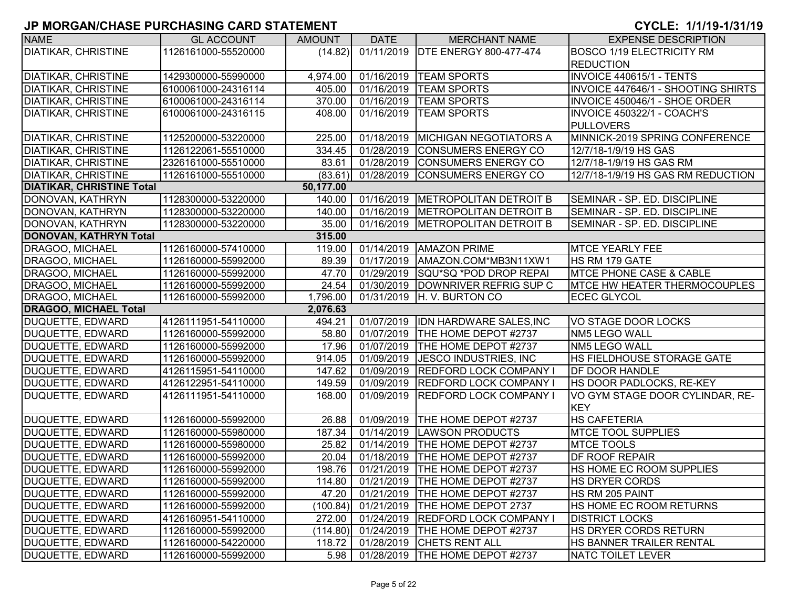| <b>NAME</b>                      | <b>GL ACCOUNT</b>   | <b>AMOUNT</b> | <b>DATE</b>           | <b>MERCHANT NAME</b>                       | <b>EXPENSE DESCRIPTION</b>          |
|----------------------------------|---------------------|---------------|-----------------------|--------------------------------------------|-------------------------------------|
| <b>DIATIKAR, CHRISTINE</b>       | 1126161000-55520000 | (14.82)       |                       | 01/11/2019 DTE ENERGY 800-477-474          | <b>BOSCO 1/19 ELECTRICITY RM</b>    |
|                                  |                     |               |                       |                                            | <b>REDUCTION</b>                    |
| <b>DIATIKAR, CHRISTINE</b>       | 1429300000-55990000 | 4,974.00      | 01/16/2019            | <b>TEAM SPORTS</b>                         | <b>INVOICE 440615/1 - TENTS</b>     |
| <b>DIATIKAR, CHRISTINE</b>       | 6100061000-24316114 | 405.00        | 01/16/2019            | <b>TEAM SPORTS</b>                         | INVOICE 447646/1 - SHOOTING SHIRTS  |
| <b>DIATIKAR, CHRISTINE</b>       | 6100061000-24316114 | 370.00        | 01/16/2019            | <b>TEAM SPORTS</b>                         | INVOICE 450046/1 - SHOE ORDER       |
| <b>DIATIKAR, CHRISTINE</b>       | 6100061000-24316115 | 408.00        | 01/16/2019            | <b>TEAM SPORTS</b>                         | <b>INVOICE 450322/1 - COACH'S</b>   |
|                                  |                     |               |                       |                                            | <b>PULLOVERS</b>                    |
| <b>DIATIKAR, CHRISTINE</b>       | 1125200000-53220000 | 225.00        | 01/18/2019            | <b>MICHIGAN NEGOTIATORS A</b>              | MINNICK-2019 SPRING CONFERENCE      |
| <b>DIATIKAR, CHRISTINE</b>       | 1126122061-55510000 | 334.45        | 01/28/2019            | CONSUMERS ENERGY CO                        | 12/7/18-1/9/19 HS GAS               |
| <b>DIATIKAR, CHRISTINE</b>       | 2326161000-55510000 | 83.61         | 01/28/2019            | <b>CONSUMERS ENERGY CO</b>                 | 12/7/18-1/9/19 HS GAS RM            |
| <b>DIATIKAR, CHRISTINE</b>       | 1126161000-55510000 | (83.61)       | 01/28/2019            | <b>CONSUMERS ENERGY CO</b>                 | 12/7/18-1/9/19 HS GAS RM REDUCTION  |
| <b>DIATIKAR, CHRISTINE Total</b> |                     | 50,177.00     |                       |                                            |                                     |
| DONOVAN, KATHRYN                 | 1128300000-53220000 | 140.00        |                       | 01/16/2019 METROPOLITAN DETROIT B          | SEMINAR - SP. ED. DISCIPLINE        |
| DONOVAN, KATHRYN                 | 1128300000-53220000 | 140.00        | 01/16/2019            | <b>METROPOLITAN DETROIT B</b>              | SEMINAR - SP. ED. DISCIPLINE        |
| DONOVAN, KATHRYN                 | 1128300000-53220000 | 35.00         | 01/16/2019            | <b>METROPOLITAN DETROIT B</b>              | SEMINAR - SP. ED. DISCIPLINE        |
| DONOVAN, KATHRYN Total           |                     | 315.00        |                       |                                            |                                     |
| DRAGOO, MICHAEL                  | 1126160000-57410000 | 119.00        | 01/14/2019            | <b>AMAZON PRIME</b>                        | <b>MTCE YEARLY FEE</b>              |
| DRAGOO, MICHAEL                  | 1126160000-55992000 | 89.39         | 01/17/2019            | IAMAZON.COM*MB3N11XW1                      | <b>HS RM 179 GATE</b>               |
| DRAGOO, MICHAEL                  | 1126160000-55992000 | 47.70         | 01/29/2019            | SQU*SQ *POD DROP REPAI                     | <b>IMTCE PHONE CASE &amp; CABLE</b> |
| DRAGOO, MICHAEL                  | 1126160000-55992000 | 24.54         |                       | 01/30/2019 DOWNRIVER REFRIG SUP C          | <b>MTCE HW HEATER THERMOCOUPLES</b> |
| <b>DRAGOO, MICHAEL</b>           | 1126160000-55992000 | 1,796.00      | 01/31/2019            | H. V. BURTON CO                            | <b>ECEC GLYCOL</b>                  |
| <b>DRAGOO, MICHAEL Total</b>     |                     | 2,076.63      |                       |                                            |                                     |
| DUQUETTE, EDWARD                 | 4126111951-54110000 | 494.21        | 01/07/2019            | <b>IDN HARDWARE SALES, INC</b>             | VO STAGE DOOR LOCKS                 |
| DUQUETTE, EDWARD                 | 1126160000-55992000 | 58.80         | 01/07/2019            | THE HOME DEPOT #2737                       | NM5 LEGO WALL                       |
| DUQUETTE, EDWARD                 | 1126160000-55992000 | 17.96         | 01/07/2019            | THE HOME DEPOT #2737                       | NM5 LEGO WALL                       |
| DUQUETTE, EDWARD                 | 1126160000-55992000 | 914.05        | 01/09/2019            | <b>JESCO INDUSTRIES, INC</b>               | HS FIELDHOUSE STORAGE GATE          |
| <b>DUQUETTE, EDWARD</b>          | 4126115951-54110000 | 147.62        | 01/09/2019            | <b>REDFORD LOCK COMPANY I</b>              | <b>DF DOOR HANDLE</b>               |
| DUQUETTE, EDWARD                 | 4126122951-54110000 | 149.59        | 01/09/2019            | <b>REDFORD LOCK COMPANY I</b>              | HS DOOR PADLOCKS, RE-KEY            |
| DUQUETTE, EDWARD                 | 4126111951-54110000 | 168.00        | 01/09/2019            | <b>REDFORD LOCK COMPANY I</b>              | VO GYM STAGE DOOR CYLINDAR, RE-     |
|                                  |                     |               |                       |                                            | <b>KEY</b>                          |
| DUQUETTE, EDWARD                 | 1126160000-55992000 | 26.88         | 01/09/2019            | THE HOME DEPOT #2737                       | <b>HS CAFETERIA</b>                 |
| DUQUETTE, EDWARD                 | 1126160000-55980000 | 187.34        | 01/14/2019            | LAWSON PRODUCTS                            | <b>MTCE TOOL SUPPLIES</b>           |
| DUQUETTE, EDWARD                 | 1126160000-55980000 | 25.82         | 01/14/2019            | THE HOME DEPOT #2737                       | <b>MTCE TOOLS</b>                   |
| <b>DUQUETTE, EDWARD</b>          | 1126160000-55992000 | 20.04         | 01/18/2019            | <b>THE HOME DEPOT #2737</b>                | <b>DF ROOF REPAIR</b>               |
| DUQUETTE, EDWARD                 | 1126160000-55992000 | 198.76        |                       | 01/21/2019   THE HOME DEPOT #2737          | <b>HS HOME EC ROOM SUPPLIES</b>     |
| DUQUETTE, EDWARD                 | 1126160000-55992000 |               |                       | 114.80   01/21/2019   THE HOME DEPOT #2737 | <b>HS DRYER CORDS</b>               |
| DUQUETTE, EDWARD                 | 1126160000-55992000 | 47.20         |                       | 01/21/2019   THE HOME DEPOT #2737          | HS RM 205 PAINT                     |
| DUQUETTE, EDWARD                 | 1126160000-55992000 | (100.84)      |                       | 01/21/2019 THE HOME DEPOT 2737             | <b>HS HOME EC ROOM RETURNS</b>      |
| DUQUETTE, EDWARD                 | 4126160951-54110000 | 272.00        |                       | 01/24/2019 REDFORD LOCK COMPANY I          | <b>DISTRICT LOCKS</b>               |
| DUQUETTE, EDWARD                 | 1126160000-55992000 |               | $(114.80)$ 01/24/2019 | THE HOME DEPOT #2737                       | HS DRYER CORDS RETURN               |
| DUQUETTE, EDWARD                 | 1126160000-54220000 | 118.72        | 01/28/2019            | <b>CHETS RENT ALL</b>                      | HS BANNER TRAILER RENTAL            |
| DUQUETTE, EDWARD                 | 1126160000-55992000 |               |                       | 5.98   01/28/2019   THE HOME DEPOT #2737   | NATC TOILET LEVER                   |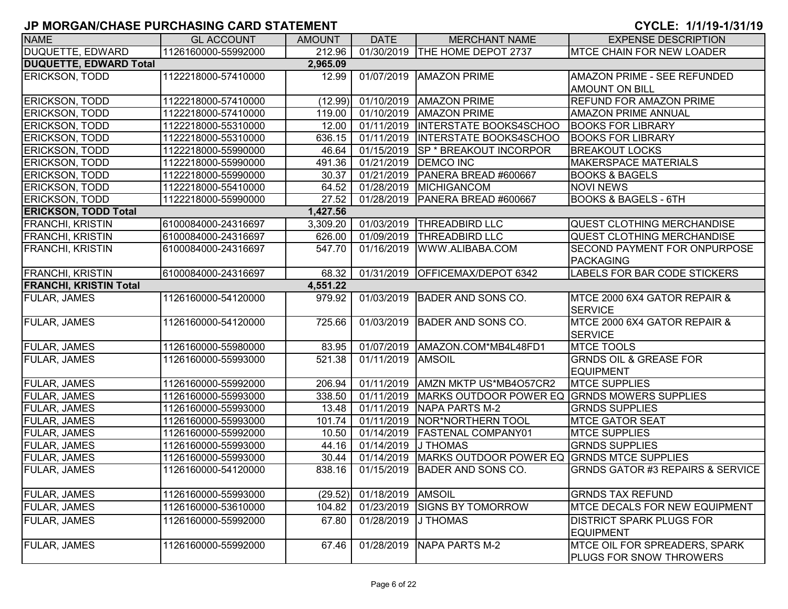| <b>NAME</b>                   | <b>GL ACCOUNT</b>   | <b>AMOUNT</b> | <b>DATE</b> | <b>MERCHANT NAME</b>                       | <b>EXPENSE DESCRIPTION</b>                  |
|-------------------------------|---------------------|---------------|-------------|--------------------------------------------|---------------------------------------------|
| DUQUETTE, EDWARD              | 1126160000-55992000 | 212.96        |             | 01/30/2019  THE HOME DEPOT 2737            | MTCE CHAIN FOR NEW LOADER                   |
| <b>DUQUETTE, EDWARD Total</b> |                     | 2,965.09      |             |                                            |                                             |
| <b>ERICKSON, TODD</b>         | 1122218000-57410000 | 12.99         |             | 01/07/2019   AMAZON PRIME                  | AMAZON PRIME - SEE REFUNDED                 |
|                               |                     |               |             |                                            | <b>AMOUNT ON BILL</b>                       |
| <b>ERICKSON, TODD</b>         | 1122218000-57410000 | (12.99)       |             | 01/10/2019 AMAZON PRIME                    | <b>REFUND FOR AMAZON PRIME</b>              |
| <b>ERICKSON, TODD</b>         | 1122218000-57410000 | 119.00        |             | 01/10/2019   AMAZON PRIME                  | <b>AMAZON PRIME ANNUAL</b>                  |
| <b>ERICKSON, TODD</b>         | 1122218000-55310000 | 12.00         |             | 01/11/2019  INTERSTATE BOOKS4SCHOO         | <b>BOOKS FOR LIBRARY</b>                    |
| <b>ERICKSON, TODD</b>         | 1122218000-55310000 | 636.15        |             | 01/11/2019  INTERSTATE BOOKS4SCHOO         | <b>BOOKS FOR LIBRARY</b>                    |
| <b>ERICKSON, TODD</b>         | 1122218000-55990000 | 46.64         |             | 01/15/2019  SP * BREAKOUT INCORPOR         | <b>BREAKOUT LOCKS</b>                       |
| <b>ERICKSON, TODD</b>         | 1122218000-55990000 | 491.36        | 01/21/2019  | <b>DEMCO INC</b>                           | <b>MAKERSPACE MATERIALS</b>                 |
| <b>ERICKSON, TODD</b>         | 1122218000-55990000 | 30.37         | 01/21/2019  | PANERA BREAD #600667                       | <b>BOOKS &amp; BAGELS</b>                   |
| <b>ERICKSON, TODD</b>         | 1122218000-55410000 | 64.52         |             | 01/28/2019 MICHIGANCOM                     | <b>NOVI NEWS</b>                            |
| <b>ERICKSON, TODD</b>         | 1122218000-55990000 | 27.52         | 01/28/2019  | PANERA BREAD #600667                       | <b>BOOKS &amp; BAGELS - 6TH</b>             |
| <b>ERICKSON, TODD Total</b>   |                     | 1,427.56      |             |                                            |                                             |
| FRANCHI, KRISTIN              | 6100084000-24316697 | 3,309.20      |             | 01/03/2019  THREADBIRD LLC                 | <b>QUEST CLOTHING MERCHANDISE</b>           |
| <b>FRANCHI, KRISTIN</b>       | 6100084000-24316697 | 626.00        | 01/09/2019  | <b>THREADBIRD LLC</b>                      | <b>QUEST CLOTHING MERCHANDISE</b>           |
| <b>FRANCHI, KRISTIN</b>       | 6100084000-24316697 | 547.70        | 01/16/2019  | WWW.ALIBABA.COM                            | <b>SECOND PAYMENT FOR ONPURPOSE</b>         |
|                               |                     |               |             |                                            | <b>PACKAGING</b>                            |
| <b>FRANCHI, KRISTIN</b>       | 6100084000-24316697 | 68.32         |             | 01/31/2019 OFFICEMAX/DEPOT 6342            | <b>LABELS FOR BAR CODE STICKERS</b>         |
| <b>FRANCHI, KRISTIN Total</b> |                     | 4,551.22      |             |                                            |                                             |
| <b>FULAR, JAMES</b>           | 1126160000-54120000 | 979.92        |             | 01/03/2019 BADER AND SONS CO.              | MTCE 2000 6X4 GATOR REPAIR &                |
|                               |                     |               |             |                                            | <b>SERVICE</b>                              |
| <b>FULAR, JAMES</b>           | 1126160000-54120000 | 725.66        |             | 01/03/2019 BADER AND SONS CO.              | MTCE 2000 6X4 GATOR REPAIR &                |
|                               |                     |               |             |                                            | <b>SERVICE</b>                              |
| <b>FULAR, JAMES</b>           | 1126160000-55980000 | 83.95         |             | 01/07/2019   AMAZON.COM*MB4L48FD1          | <b>MTCE TOOLS</b>                           |
| <b>FULAR, JAMES</b>           | 1126160000-55993000 | 521.38        | 01/11/2019  | <b>AMSOIL</b>                              | <b>GRNDS OIL &amp; GREASE FOR</b>           |
|                               |                     |               |             |                                            | <b>EQUIPMENT</b>                            |
| <b>FULAR, JAMES</b>           | 1126160000-55992000 | 206.94        |             | 01/11/2019 AMZN MKTP US*MB4O57CR2          | <b>MTCE SUPPLIES</b>                        |
| <b>FULAR, JAMES</b>           | 1126160000-55993000 | 338.50        |             | 01/11/2019 MARKS OUTDOOR POWER EQ          | <b>GRNDS MOWERS SUPPLIES</b>                |
| <b>FULAR, JAMES</b>           | 1126160000-55993000 | 13.48         | 01/11/2019  | NAPA PARTS M-2                             | <b>GRNDS SUPPLIES</b>                       |
| <b>FULAR, JAMES</b>           | 1126160000-55993000 | 101.74        | 01/11/2019  | <b>NOR*NORTHERN TOOL</b>                   | <b>MTCE GATOR SEAT</b>                      |
| <b>FULAR, JAMES</b>           | 1126160000-55992000 | 10.50         | 01/14/2019  | <b>FASTENAL COMPANY01</b>                  | <b>MTCE SUPPLIES</b>                        |
| <b>FULAR, JAMES</b>           | 1126160000-55993000 | 44.16         | 01/14/2019  | J THOMAS                                   | <b>GRNDS SUPPLIES</b>                       |
| <b>FULAR, JAMES</b>           | 1126160000-55993000 | 30.44         | 01/14/2019  | MARKS OUTDOOR POWER EQ GRNDS MTCE SUPPLIES |                                             |
| <b>FULAR, JAMES</b>           | 1126160000-54120000 | 838.16        |             | 01/15/2019 BADER AND SONS CO.              | <b>GRNDS GATOR #3 REPAIRS &amp; SERVICE</b> |
|                               |                     |               |             |                                            |                                             |
| <b>FULAR, JAMES</b>           | 1126160000-55993000 | (29.52)       | 01/18/2019  | AMSOIL                                     | <b>GRNDS TAX REFUND</b>                     |
| <b>FULAR, JAMES</b>           | 1126160000-53610000 | 104.82        | 01/23/2019  | <b>SIGNS BY TOMORROW</b>                   | <b>MTCE DECALS FOR NEW EQUIPMENT</b>        |
| <b>FULAR, JAMES</b>           | 1126160000-55992000 | 67.80         | 01/28/2019  | J THOMAS                                   | <b>DISTRICT SPARK PLUGS FOR</b>             |
|                               |                     |               |             |                                            | <b>EQUIPMENT</b>                            |
| <b>FULAR, JAMES</b>           | 1126160000-55992000 | 67.46         | 01/28/2019  | <b>NAPA PARTS M-2</b>                      | MTCE OIL FOR SPREADERS, SPARK               |
|                               |                     |               |             |                                            | PLUGS FOR SNOW THROWERS                     |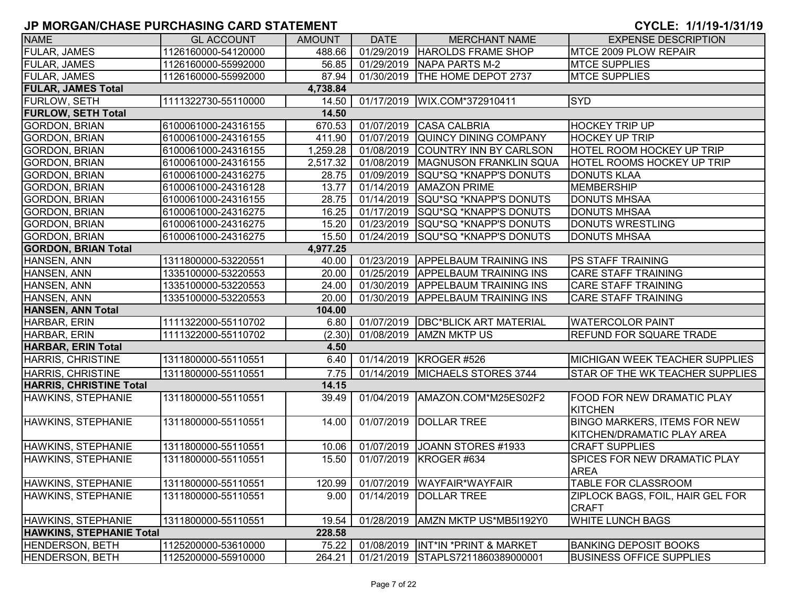| <b>NAME</b>                     | <b>GL ACCOUNT</b>   | <b>AMOUNT</b> | <b>DATE</b> | <b>MERCHANT NAME</b>                | <b>EXPENSE DESCRIPTION</b>             |
|---------------------------------|---------------------|---------------|-------------|-------------------------------------|----------------------------------------|
| FULAR, JAMES                    | 1126160000-54120000 | 488.66        | 01/29/2019  | HAROLDS FRAME SHOP                  | MTCE 2009 PLOW REPAIR                  |
| FULAR, JAMES                    | 1126160000-55992000 | 56.85         | 01/29/2019  | NAPA PARTS M-2                      | <b>MTCE SUPPLIES</b>                   |
| FULAR, JAMES                    | 1126160000-55992000 | 87.94         |             | 01/30/2019  THE HOME DEPOT 2737     | <b>MTCE SUPPLIES</b>                   |
| <b>FULAR, JAMES Total</b>       |                     | 4,738.84      |             |                                     |                                        |
| FURLOW, SETH                    | 1111322730-55110000 | 14.50         |             | 01/17/2019   WIX.COM*372910411      | <b>SYD</b>                             |
| <b>FURLOW, SETH Total</b>       |                     | 14.50         |             |                                     |                                        |
| <b>GORDON, BRIAN</b>            | 6100061000-24316155 | 670.53        |             | 01/07/2019 CASA CALBRIA             | <b>HOCKEY TRIP UP</b>                  |
| <b>GORDON, BRIAN</b>            | 6100061000-24316155 | 411.90        | 01/07/2019  | QUINCY DINING COMPANY               | <b>HOCKEY UP TRIP</b>                  |
| <b>GORDON, BRIAN</b>            | 6100061000-24316155 | 1,259.28      | 01/08/2019  | COUNTRY INN BY CARLSON              | HOTEL ROOM HOCKEY UP TRIP              |
| <b>GORDON, BRIAN</b>            | 6100061000-24316155 | 2,517.32      |             | 01/08/2019   MAGNUSON FRANKLIN SQUA | <b>HOTEL ROOMS HOCKEY UP TRIP</b>      |
| <b>GORDON, BRIAN</b>            | 6100061000-24316275 | 28.75         |             | 01/09/2019 SQU*SQ *KNAPP'S DONUTS   | <b>DONUTS KLAA</b>                     |
| <b>GORDON, BRIAN</b>            | 6100061000-24316128 | 13.77         | 01/14/2019  | <b>AMAZON PRIME</b>                 | <b>MEMBERSHIP</b>                      |
| <b>GORDON, BRIAN</b>            | 6100061000-24316155 | 28.75         | 01/14/2019  | SQU*SQ *KNAPP'S DONUTS              | <b>DONUTS MHSAA</b>                    |
| <b>GORDON, BRIAN</b>            | 6100061000-24316275 | 16.25         | 01/17/2019  | SQU*SQ *KNAPP'S DONUTS              | <b>DONUTS MHSAA</b>                    |
| <b>GORDON, BRIAN</b>            | 6100061000-24316275 | 15.20         | 01/23/2019  | SQU*SQ *KNAPP'S DONUTS              | <b>DONUTS WRESTLING</b>                |
| <b>GORDON, BRIAN</b>            | 6100061000-24316275 | 15.50         | 01/24/2019  | SQU*SQ *KNAPP'S DONUTS              | <b>DONUTS MHSAA</b>                    |
| <b>GORDON, BRIAN Total</b>      |                     | 4,977.25      |             |                                     |                                        |
| HANSEN, ANN                     | 1311800000-53220551 | 40.00         |             | 01/23/2019 APPELBAUM TRAINING INS   | PS STAFF TRAINING                      |
| HANSEN, ANN                     | 1335100000-53220553 | 20.00         |             | 01/25/2019 APPELBAUM TRAINING INS   | CARE STAFF TRAINING                    |
| HANSEN, ANN                     | 1335100000-53220553 | 24.00         |             | 01/30/2019 APPELBAUM TRAINING INS   | <b>CARE STAFF TRAINING</b>             |
| HANSEN, ANN                     | 1335100000-53220553 | 20.00         |             | 01/30/2019   APPELBAUM TRAINING INS | CARE STAFF TRAINING                    |
| <b>HANSEN, ANN Total</b>        |                     | 104.00        |             |                                     |                                        |
| HARBAR, ERIN                    | 1111322000-55110702 | 6.80          | 01/07/2019  | <b>DBC*BLICK ART MATERIAL</b>       | <b>WATERCOLOR PAINT</b>                |
| HARBAR, ERIN                    | 1111322000-55110702 | (2.30)        | 01/08/2019  | <b>AMZN MKTP US</b>                 | <b>REFUND FOR SQUARE TRADE</b>         |
| <b>HARBAR, ERIN Total</b>       |                     | 4.50          |             |                                     |                                        |
| HARRIS, CHRISTINE               | 1311800000-55110551 | 6.40          |             | 01/14/2019   KROGER #526            | <b>MICHIGAN WEEK TEACHER SUPPLIES</b>  |
| <b>HARRIS, CHRISTINE</b>        | 1311800000-55110551 | 7.75          | 01/14/2019  | MICHAELS STORES 3744                | <b>STAR OF THE WK TEACHER SUPPLIES</b> |
| <b>HARRIS, CHRISTINE Total</b>  |                     | 14.15         |             |                                     |                                        |
| HAWKINS, STEPHANIE              | 1311800000-55110551 | 39.49         | 01/04/2019  | AMAZON.COM*M25ES02F2                | FOOD FOR NEW DRAMATIC PLAY             |
|                                 |                     |               |             |                                     | <b>KITCHEN</b>                         |
| HAWKINS, STEPHANIE              | 1311800000-55110551 | 14.00         | 01/07/2019  | <b>DOLLAR TREE</b>                  | BINGO MARKERS, ITEMS FOR NEW           |
|                                 |                     |               |             |                                     | KITCHEN/DRAMATIC PLAY AREA             |
| HAWKINS, STEPHANIE              | 1311800000-55110551 | 10.06         | 01/07/2019  | JOANN STORES #1933                  | <b>CRAFT SUPPLIES</b>                  |
| HAWKINS, STEPHANIE              | 1311800000-55110551 | 15.50         | 01/07/2019  | KROGER #634                         | SPICES FOR NEW DRAMATIC PLAY           |
|                                 |                     |               |             |                                     | <b>AREA</b>                            |
| HAWKINS, STEPHANIE              | 1311800000-55110551 | 120.99        |             | 01/07/2019 WAYFAIR*WAYFAIR          | <b>TABLE FOR CLASSROOM</b>             |
| HAWKINS, STEPHANIE              | 1311800000-55110551 | 9.00          | 01/14/2019  | <b>DOLLAR TREE</b>                  | ZIPLOCK BAGS, FOIL, HAIR GEL FOR       |
|                                 |                     |               |             |                                     | <b>CRAFT</b>                           |
| HAWKINS, STEPHANIE              | 1311800000-55110551 | 19.54         |             | 01/28/2019   AMZN MKTP US*MB5I192Y0 | <b>WHITE LUNCH BAGS</b>                |
| <b>HAWKINS, STEPHANIE Total</b> |                     | 228.58        |             |                                     |                                        |
| HENDERSON, BETH                 | 1125200000-53610000 | 75.22         |             | 01/08/2019  INT*IN *PRINT & MARKET  | <b>BANKING DEPOSIT BOOKS</b>           |
| <b>HENDERSON, BETH</b>          | 1125200000-55910000 | 264.21        |             | 01/21/2019 STAPLS7211860389000001   | <b>BUSINESS OFFICE SUPPLIES</b>        |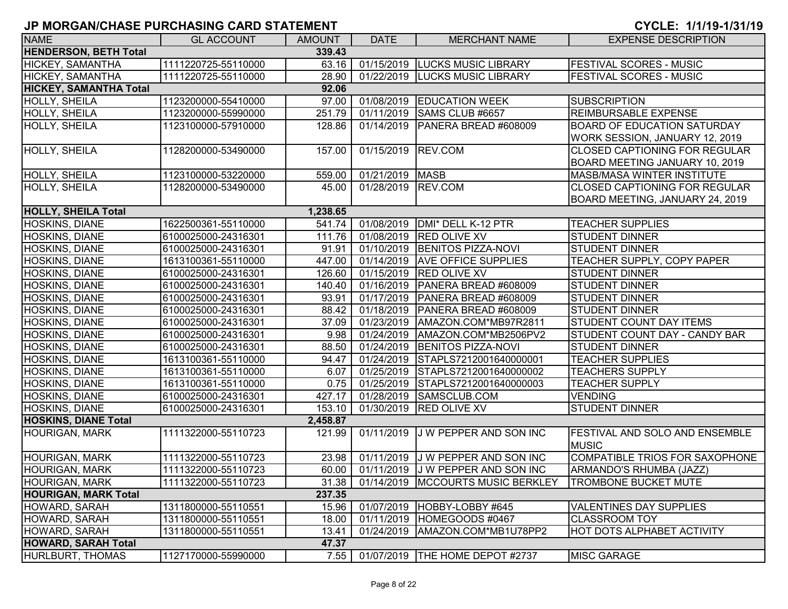| <b>NAME</b>                   | <b>GL ACCOUNT</b>   | <b>AMOUNT</b> | <b>DATE</b>     | <b>MERCHANT NAME</b>                | <b>EXPENSE DESCRIPTION</b>                            |
|-------------------------------|---------------------|---------------|-----------------|-------------------------------------|-------------------------------------------------------|
| <b>HENDERSON, BETH Total</b>  |                     | 339.43        |                 |                                     |                                                       |
| HICKEY, SAMANTHA              | 1111220725-55110000 | 63.16         |                 | 01/15/2019 LUCKS MUSIC LIBRARY      | <b>FESTIVAL SCORES - MUSIC</b>                        |
| HICKEY, SAMANTHA              | 1111220725-55110000 | 28.90         |                 | 01/22/2019 LUCKS MUSIC LIBRARY      | <b>FESTIVAL SCORES - MUSIC</b>                        |
| <b>HICKEY, SAMANTHA Total</b> |                     | 92.06         |                 |                                     |                                                       |
| HOLLY, SHEILA                 | 1123200000-55410000 | 97.00         | 01/08/2019      | <b>EDUCATION WEEK</b>               | <b>SUBSCRIPTION</b>                                   |
| HOLLY, SHEILA                 | 1123200000-55990000 | 251.79        | 01/11/2019      | SAMS CLUB #6657                     | <b>REIMBURSABLE EXPENSE</b>                           |
| HOLLY, SHEILA                 | 1123100000-57910000 | 128.86        | 01/14/2019      | PANERA BREAD #608009                | <b>BOARD OF EDUCATION SATURDAY</b>                    |
|                               |                     |               |                 |                                     | WORK SESSION, JANUARY 12, 2019                        |
| HOLLY, SHEILA                 | 1128200000-53490000 | 157.00        | 01/15/2019      | REV.COM                             | <b>CLOSED CAPTIONING FOR REGULAR</b>                  |
|                               |                     |               |                 |                                     | BOARD MEETING JANUARY 10, 2019                        |
| <b>HOLLY, SHEILA</b>          | 1123100000-53220000 | 559.00        | 01/21/2019 MASB |                                     | <b>MASB/MASA WINTER INSTITUTE</b>                     |
| HOLLY, SHEILA                 | 1128200000-53490000 | 45.00         | 01/28/2019      | REV.COM                             | <b>CLOSED CAPTIONING FOR REGULAR</b>                  |
|                               |                     |               |                 |                                     | BOARD MEETING, JANUARY 24, 2019                       |
| <b>HOLLY, SHEILA Total</b>    |                     | 1,238.65      |                 |                                     |                                                       |
| <b>HOSKINS, DIANE</b>         | 1622500361-55110000 | 541.74        | 01/08/2019      | DMI* DELL K-12 PTR                  | <b>TEACHER SUPPLIES</b>                               |
| HOSKINS, DIANE                | 6100025000-24316301 | 111.76        | 01/08/2019      | <b>RED OLIVE XV</b>                 | <b>STUDENT DINNER</b>                                 |
| HOSKINS, DIANE                | 6100025000-24316301 | 91.91         | 01/10/2019      | <b>BENITOS PIZZA-NOVI</b>           | <b>STUDENT DINNER</b>                                 |
| <b>HOSKINS, DIANE</b>         | 1613100361-55110000 | 447.00        | 01/14/2019      | <b>AVE OFFICE SUPPLIES</b>          | TEACHER SUPPLY, COPY PAPER                            |
| <b>HOSKINS, DIANE</b>         | 6100025000-24316301 | 126.60        | 01/15/2019      | <b>RED OLIVE XV</b>                 | <b>STUDENT DINNER</b>                                 |
| <b>HOSKINS, DIANE</b>         | 6100025000-24316301 | 140.40        | 01/16/2019      | PANERA BREAD #608009                | <b>STUDENT DINNER</b>                                 |
| <b>HOSKINS, DIANE</b>         | 6100025000-24316301 | 93.91         | 01/17/2019      | PANERA BREAD #608009                | <b>STUDENT DINNER</b>                                 |
| <b>HOSKINS, DIANE</b>         | 6100025000-24316301 | 88.42         | 01/18/2019      | PANERA BREAD #608009                | <b>STUDENT DINNER</b>                                 |
| HOSKINS, DIANE                | 6100025000-24316301 | 37.09         | 01/23/2019      | AMAZON.COM*MB97R2811                | <b>STUDENT COUNT DAY ITEMS</b>                        |
| HOSKINS, DIANE                | 6100025000-24316301 | 9.98          | 01/24/2019      | AMAZON.COM*MB2506PV2                | STUDENT COUNT DAY - CANDY BAR                         |
| HOSKINS, DIANE                | 6100025000-24316301 | 88.50         | 01/24/2019      | <b>BENITOS PIZZA-NOVI</b>           | <b>STUDENT DINNER</b>                                 |
| HOSKINS, DIANE                | 1613100361-55110000 | 94.47         | 01/24/2019      | STAPLS7212001640000001              | <b>TEACHER SUPPLIES</b>                               |
| HOSKINS, DIANE                | 1613100361-55110000 | 6.07          | 01/25/2019      | STAPLS7212001640000002              | <b>TEACHERS SUPPLY</b>                                |
| HOSKINS, DIANE                | 1613100361-55110000 | 0.75          | 01/25/2019      | STAPLS7212001640000003              | <b>TEACHER SUPPLY</b>                                 |
| <b>HOSKINS, DIANE</b>         | 6100025000-24316301 | 427.17        | 01/28/2019      | SAMSCLUB.COM                        | <b>VENDING</b>                                        |
| <b>HOSKINS, DIANE</b>         | 6100025000-24316301 | 153.10        |                 | 01/30/2019  RED OLIVE XV            | <b>STUDENT DINNER</b>                                 |
| <b>HOSKINS, DIANE Total</b>   |                     | 2,458.87      |                 |                                     |                                                       |
| <b>HOURIGAN, MARK</b>         | 1111322000-55110723 | 121.99        | 01/11/2019      | J W PEPPER AND SON INC              | <b>FESTIVAL AND SOLO AND ENSEMBLE</b><br><b>MUSIC</b> |
| <b>HOURIGAN, MARK</b>         | 1111322000-55110723 | 23.98         |                 | 01/11/2019 J W PEPPER AND SON INC   | COMPATIBLE TRIOS FOR SAXOPHONE                        |
| <b>HOURIGAN, MARK</b>         | 1111322000-55110723 | 60.00         |                 | 01/11/2019 J W PEPPER AND SON INC   | ARMANDO'S RHUMBA (JAZZ)                               |
| <b>HOURIGAN, MARK</b>         | 1111322000-55110723 | 31.38         |                 | 01/14/2019   MCCOURTS MUSIC BERKLEY | <b>TROMBONE BUCKET MUTE</b>                           |
| <b>HOURIGAN, MARK Total</b>   |                     | 237.35        |                 |                                     |                                                       |
| HOWARD, SARAH                 | 1311800000-55110551 | 15.96         |                 | 01/07/2019 HOBBY-LOBBY #645         | <b>VALENTINES DAY SUPPLIES</b>                        |
| HOWARD, SARAH                 | 1311800000-55110551 | 18.00         | 01/11/2019      | HOMEGOODS #0467                     | <b>CLASSROOM TOY</b>                                  |
| HOWARD, SARAH                 | 1311800000-55110551 | 13.41         | 01/24/2019      | AMAZON.COM*MB1U78PP2                | <b>HOT DOTS ALPHABET ACTIVITY</b>                     |
| <b>HOWARD, SARAH Total</b>    |                     | 47.37         |                 |                                     |                                                       |
| HURLBURT, THOMAS              | 1127170000-55990000 | 7.55          |                 | 01/07/2019 THE HOME DEPOT #2737     | <b>MISC GARAGE</b>                                    |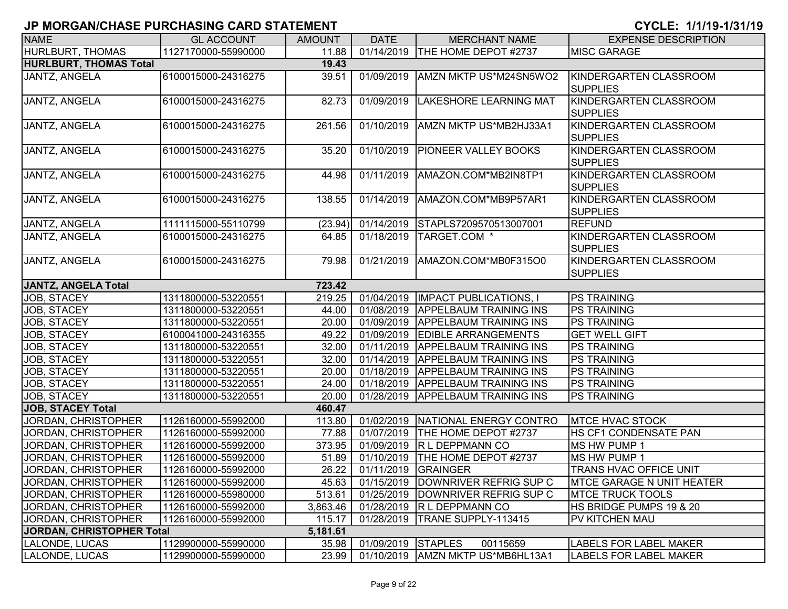| <b>NAME</b>                   | <b>GL ACCOUNT</b>   | <b>AMOUNT</b> | <b>DATE</b>        | <b>MERCHANT NAME</b>                        | <b>EXPENSE DESCRIPTION</b>                |
|-------------------------------|---------------------|---------------|--------------------|---------------------------------------------|-------------------------------------------|
| HURLBURT, THOMAS              | 1127170000-55990000 | 11.88         |                    | 01/14/2019 THE HOME DEPOT #2737             | <b>MISC GARAGE</b>                        |
| <b>HURLBURT, THOMAS Total</b> |                     | 19.43         |                    |                                             |                                           |
| JANTZ, ANGELA                 | 6100015000-24316275 | 39.51         |                    | 01/09/2019   AMZN MKTP US*M24SN5WO2         | KINDERGARTEN CLASSROOM<br><b>SUPPLIES</b> |
| <b>JANTZ, ANGELA</b>          | 6100015000-24316275 | 82.73         | 01/09/2019         | <b>LAKESHORE LEARNING MAT</b>               | KINDERGARTEN CLASSROOM<br><b>SUPPLIES</b> |
| JANTZ, ANGELA                 | 6100015000-24316275 | 261.56        | 01/10/2019         | AMZN MKTP US*MB2HJ33A1                      | KINDERGARTEN CLASSROOM<br><b>SUPPLIES</b> |
| JANTZ, ANGELA                 | 6100015000-24316275 | 35.20         | 01/10/2019         | <b>PIONEER VALLEY BOOKS</b>                 | KINDERGARTEN CLASSROOM<br><b>SUPPLIES</b> |
| JANTZ, ANGELA                 | 6100015000-24316275 | 44.98         | 01/11/2019         | AMAZON.COM*MB2IN8TP1                        | KINDERGARTEN CLASSROOM<br><b>SUPPLIES</b> |
| JANTZ, ANGELA                 | 6100015000-24316275 | 138.55        | 01/14/2019         | AMAZON.COM*MB9P57AR1                        | KINDERGARTEN CLASSROOM<br><b>SUPPLIES</b> |
| JANTZ, ANGELA                 | 1111115000-55110799 | (23.94)       |                    | 01/14/2019 STAPLS7209570513007001           | <b>REFUND</b>                             |
| <b>JANTZ, ANGELA</b>          | 6100015000-24316275 | 64.85         | 01/18/2019         | TARGET.COM *                                | KINDERGARTEN CLASSROOM<br><b>SUPPLIES</b> |
| JANTZ, ANGELA                 | 6100015000-24316275 | 79.98         | 01/21/2019         | AMAZON.COM*MB0F315O0                        | KINDERGARTEN CLASSROOM<br><b>SUPPLIES</b> |
| <b>JANTZ, ANGELA Total</b>    |                     | 723.42        |                    |                                             |                                           |
| JOB, STACEY                   | 1311800000-53220551 | 219.25        | 01/04/2019         | <b>IMPACT PUBLICATIONS, I</b>               | <b>PS TRAINING</b>                        |
| JOB, STACEY                   | 1311800000-53220551 | 44.00         | 01/08/2019         | <b>APPELBAUM TRAINING INS</b>               | <b>PS TRAINING</b>                        |
| JOB, STACEY                   | 1311800000-53220551 | 20.00         | 01/09/2019         | <b>APPELBAUM TRAINING INS</b>               | <b>PS TRAINING</b>                        |
| JOB, STACEY                   | 6100041000-24316355 | 49.22         |                    | 01/09/2019 EDIBLE ARRANGEMENTS              | <b>GET WELL GIFT</b>                      |
| JOB, STACEY                   | 1311800000-53220551 | 32.00         | 01/11/2019         | <b>APPELBAUM TRAINING INS</b>               | <b>PS TRAINING</b>                        |
| JOB, STACEY                   | 1311800000-53220551 | 32.00         | 01/14/2019         | <b>APPELBAUM TRAINING INS</b>               | <b>PS TRAINING</b>                        |
| JOB, STACEY                   | 1311800000-53220551 | 20.00         | 01/18/2019         | <b>APPELBAUM TRAINING INS</b>               | <b>PS TRAINING</b>                        |
| JOB, STACEY                   | 1311800000-53220551 | 24.00         |                    | 01/18/2019 APPELBAUM TRAINING INS           | <b>PS TRAINING</b>                        |
| JOB, STACEY                   | 1311800000-53220551 | 20.00         |                    | 01/28/2019   APPELBAUM TRAINING INS         | <b>PS TRAINING</b>                        |
| <b>JOB, STACEY Total</b>      |                     | 460.47        |                    |                                             |                                           |
| JORDAN, CHRISTOPHER           | 1126160000-55992000 | 113.80        | 01/02/2019         | NATIONAL ENERGY CONTRO                      | <b>MTCE HVAC STOCK</b>                    |
| JORDAN, CHRISTOPHER           | 1126160000-55992000 | 77.88         | 01/07/2019         | THE HOME DEPOT #2737                        | <b>HS CF1 CONDENSATE PAN</b>              |
| JORDAN, CHRISTOPHER           | 1126160000-55992000 | 373.95        |                    | 01/09/2019 R L DEPPMANN CO                  | MS HW PUMP 1                              |
| JORDAN, CHRISTOPHER           | 1126160000-55992000 | 51.89         | 01/10/2019         | THE HOME DEPOT #2737                        | MS HW PUMP 1                              |
| JORDAN, CHRISTOPHER           | 1126160000-55992000 | 26.22         |                    | 01/11/2019 GRAINGER                         | TRANS HVAC OFFICE UNIT                    |
| JORDAN, CHRISTOPHER           | 1126160000-55992000 |               |                    | 45.63   01/15/2019   DOWNRIVER REFRIG SUP C | <b>IMTCE GARAGE N UNIT HEATER</b>         |
| JORDAN, CHRISTOPHER           | 1126160000-55980000 | 513.61        |                    | 01/25/2019 DOWNRIVER REFRIG SUP C           | <b>MTCE TRUCK TOOLS</b>                   |
| JORDAN, CHRISTOPHER           | 1126160000-55992000 | 3,863.46      |                    | 01/28/2019 R L DEPPMANN CO                  | HS BRIDGE PUMPS 19 & 20                   |
| JORDAN, CHRISTOPHER           | 1126160000-55992000 | 115.17        | 01/28/2019         | TRANE SUPPLY-113415                         | <b>PV KITCHEN MAU</b>                     |
| JORDAN, CHRISTOPHER Total     |                     | 5,181.61      |                    |                                             |                                           |
| LALONDE, LUCAS                | 1129900000-55990000 | 35.98         | 01/09/2019 STAPLES | 00115659                                    | <b>LABELS FOR LABEL MAKER</b>             |
| LALONDE, LUCAS                | 1129900000-55990000 | 23.99         |                    | 01/10/2019   AMZN MKTP US*MB6HL13A1         | <b>LABELS FOR LABEL MAKER</b>             |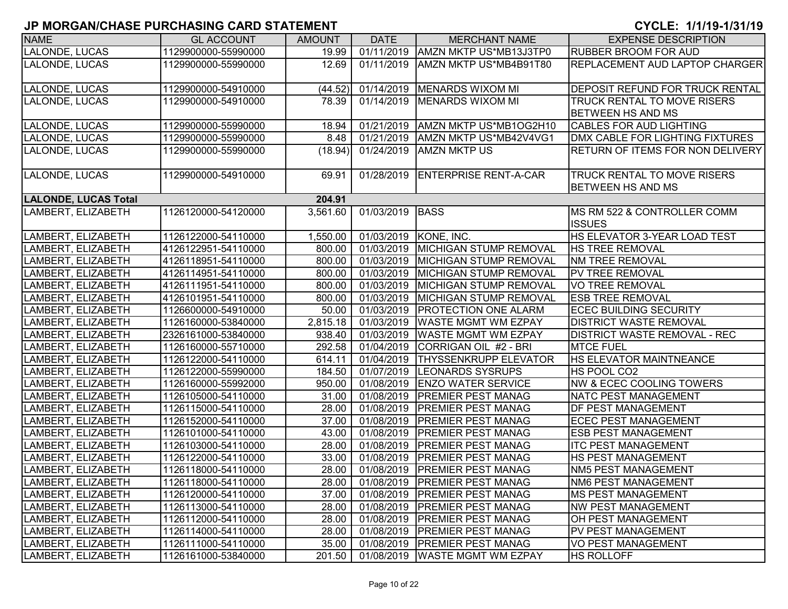| <b>NAME</b>                 | <b>GL ACCOUNT</b>   | <b>AMOUNT</b> | <b>DATE</b> | <b>MERCHANT NAME</b>                      | <b>EXPENSE DESCRIPTION</b>             |
|-----------------------------|---------------------|---------------|-------------|-------------------------------------------|----------------------------------------|
| LALONDE, LUCAS              | 1129900000-55990000 | 19.99         | 01/11/2019  | AMZN MKTP US*MB13J3TP0                    | <b>RUBBER BROOM FOR AUD</b>            |
| LALONDE, LUCAS              | 1129900000-55990000 | 12.69         | 01/11/2019  | AMZN MKTP US*MB4B91T80                    | <b>REPLACEMENT AUD LAPTOP CHARGER</b>  |
|                             |                     |               |             |                                           |                                        |
| LALONDE, LUCAS              | 1129900000-54910000 | (44.52)       | 01/14/2019  | <b>MENARDS WIXOM MI</b>                   | <b>DEPOSIT REFUND FOR TRUCK RENTAL</b> |
| LALONDE, LUCAS              | 1129900000-54910000 | 78.39         | 01/14/2019  | <b>MENARDS WIXOM MI</b>                   | <b>TRUCK RENTAL TO MOVE RISERS</b>     |
|                             |                     |               |             |                                           | <b>BETWEEN HS AND MS</b>               |
| LALONDE, LUCAS              | 1129900000-55990000 | 18.94         | 01/21/2019  | AMZN MKTP US*MB1OG2H10                    | <b>CABLES FOR AUD LIGHTING</b>         |
| LALONDE, LUCAS              | 1129900000-55990000 | 8.48          | 01/21/2019  | AMZN MKTP US*MB42V4VG1                    | DMX CABLE FOR LIGHTING FIXTURES        |
| LALONDE, LUCAS              | 1129900000-55990000 | (18.94)       | 01/24/2019  | IAMZN MKTP US                             | RETURN OF ITEMS FOR NON DELIVERY       |
|                             |                     |               |             |                                           |                                        |
| LALONDE, LUCAS              | 1129900000-54910000 | 69.91         | 01/28/2019  | <b>ENTERPRISE RENT-A-CAR</b>              | <b>TRUCK RENTAL TO MOVE RISERS</b>     |
|                             |                     |               |             |                                           | <b>BETWEEN HS AND MS</b>               |
| <b>LALONDE, LUCAS Total</b> |                     | 204.91        |             |                                           |                                        |
| LAMBERT, ELIZABETH          | 1126120000-54120000 | 3,561.60      | 01/03/2019  | <b>BASS</b>                               | MS RM 522 & CONTROLLER COMM            |
|                             |                     |               |             |                                           | <b>ISSUES</b>                          |
| LAMBERT, ELIZABETH          | 1126122000-54110000 | 1,550.00      | 01/03/2019  | KONE, INC.                                | HS ELEVATOR 3-YEAR LOAD TEST           |
| LAMBERT, ELIZABETH          | 4126122951-54110000 | 800.00        | 01/03/2019  | <b>MICHIGAN STUMP REMOVAL</b>             | <b>HS TREE REMOVAL</b>                 |
| LAMBERT, ELIZABETH          | 4126118951-54110000 | 800.00        | 01/03/2019  | <b>MICHIGAN STUMP REMOVAL</b>             | <b>NM TREE REMOVAL</b>                 |
| LAMBERT, ELIZABETH          | 4126114951-54110000 | 800.00        | 01/03/2019  | MICHIGAN STUMP REMOVAL                    | <b>PV TREE REMOVAL</b>                 |
| LAMBERT, ELIZABETH          | 4126111951-54110000 | 800.00        | 01/03/2019  | MICHIGAN STUMP REMOVAL                    | <b>VO TREE REMOVAL</b>                 |
| LAMBERT, ELIZABETH          | 4126101951-54110000 | 800.00        | 01/03/2019  | MICHIGAN STUMP REMOVAL                    | <b>ESB TREE REMOVAL</b>                |
| LAMBERT, ELIZABETH          | 1126600000-54910000 | 50.00         | 01/03/2019  | <b>PROTECTION ONE ALARM</b>               | <b>ECEC BUILDING SECURITY</b>          |
| LAMBERT, ELIZABETH          | 1126160000-53840000 | 2,815.18      | 01/03/2019  | <b>WASTE MGMT WM EZPAY</b>                | <b>DISTRICT WASTE REMOVAL</b>          |
| LAMBERT, ELIZABETH          | 2326161000-53840000 | 938.40        | 01/03/2019  | <b>WASTE MGMT WM EZPAY</b>                | <b>DISTRICT WASTE REMOVAL - REC</b>    |
| LAMBERT, ELIZABETH          | 1126160000-55710000 | 292.58        | 01/04/2019  | CORRIGAN OIL #2 - BRI                     | <b>MTCE FUEL</b>                       |
| LAMBERT, ELIZABETH          | 1126122000-54110000 | 614.11        | 01/04/2019  | <b>THYSSENKRUPP ELEVATOR</b>              | <b>HS ELEVATOR MAINTNEANCE</b>         |
| LAMBERT, ELIZABETH          | 1126122000-55990000 | 184.50        | 01/07/2019  | <b>LEONARDS SYSRUPS</b>                   | HS POOL CO2                            |
| LAMBERT, ELIZABETH          | 1126160000-55992000 | 950.00        | 01/08/2019  | <b>ENZO WATER SERVICE</b>                 | <b>NW &amp; ECEC COOLING TOWERS</b>    |
| LAMBERT, ELIZABETH          | 1126105000-54110000 | 31.00         | 01/08/2019  | <b>PREMIER PEST MANAG</b>                 | <b>NATC PEST MANAGEMENT</b>            |
| LAMBERT, ELIZABETH          | 1126115000-54110000 | 28.00         | 01/08/2019  | <b>PREMIER PEST MANAG</b>                 | <b>DF PEST MANAGEMENT</b>              |
| LAMBERT, ELIZABETH          | 1126152000-54110000 | 37.00         | 01/08/2019  | <b>PREMIER PEST MANAG</b>                 | <b>ECEC PEST MANAGEMENT</b>            |
| LAMBERT, ELIZABETH          | 1126101000-54110000 | 43.00         | 01/08/2019  | <b>PREMIER PEST MANAG</b>                 | <b>ESB PEST MANAGEMENT</b>             |
| LAMBERT, ELIZABETH          | 1126103000-54110000 | 28.00         | 01/08/2019  | <b>PREMIER PEST MANAG</b>                 | <b>ITC PEST MANAGEMENT</b>             |
| LAMBERT, ELIZABETH          | 1126122000-54110000 | 33.00         | 01/08/2019  | <b>PREMIER PEST MANAG</b>                 | HS PEST MANAGEMENT                     |
| LAMBERT, ELIZABETH          | 1126118000-54110000 | 28.00         | 01/08/2019  | <b>PREMIER PEST MANAG</b>                 | <b>NM5 PEST MANAGEMENT</b>             |
| LAMBERT, ELIZABETH          | 1126118000-54110000 | 28.00         |             | 01/08/2019   PREMIER PEST MANAG           | <b>NM6 PEST MANAGEMENT</b>             |
| LAMBERT, ELIZABETH          | 1126120000-54110000 | 37.00         | 01/08/2019  | <b>PREMIER PEST MANAG</b>                 | <b>MS PEST MANAGEMENT</b>              |
| LAMBERT, ELIZABETH          | 1126113000-54110000 | 28.00         | 01/08/2019  | <b>PREMIER PEST MANAG</b>                 | <b>NW PEST MANAGEMENT</b>              |
| LAMBERT, ELIZABETH          | 1126112000-54110000 | 28.00         | 01/08/2019  | <b>PREMIER PEST MANAG</b>                 | OH PEST MANAGEMENT                     |
| LAMBERT, ELIZABETH          | 1126114000-54110000 | 28.00         | 01/08/2019  | <b>PREMIER PEST MANAG</b>                 | PV PEST MANAGEMENT                     |
| LAMBERT, ELIZABETH          | 1126111000-54110000 | 35.00         |             | 01/08/2019   PREMIER PEST MANAG           | <b>VO PEST MANAGEMENT</b>              |
| LAMBERT, ELIZABETH          | 1126161000-53840000 |               |             | 201.50   01/08/2019   WASTE MGMT WM EZPAY | <b>HS ROLLOFF</b>                      |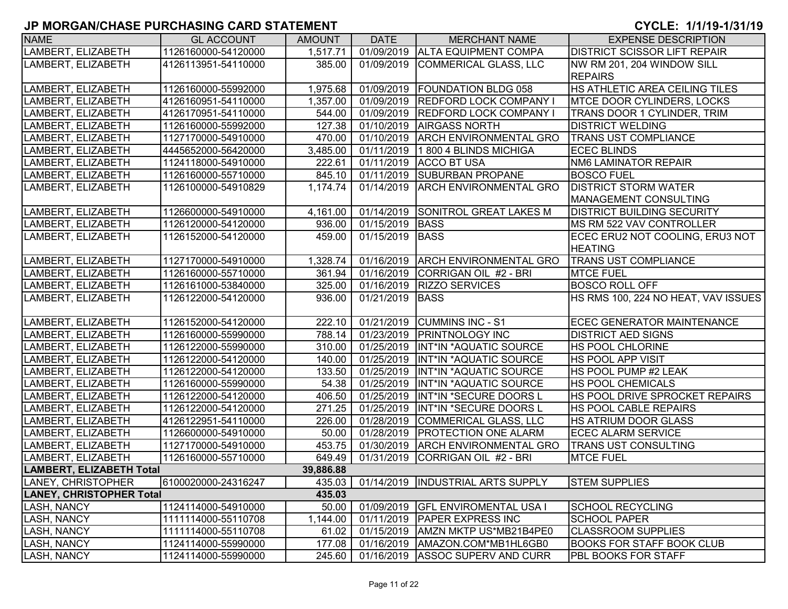| <b>NAME</b>                     | <b>GL ACCOUNT</b>   | <b>AMOUNT</b> | <b>DATE</b> | <b>MERCHANT NAME</b>               | <b>EXPENSE DESCRIPTION</b>          |
|---------------------------------|---------------------|---------------|-------------|------------------------------------|-------------------------------------|
| LAMBERT, ELIZABETH              | 1126160000-54120000 | 1,517.71      |             | 01/09/2019 ALTA EQUIPMENT COMPA    | <b>DISTRICT SCISSOR LIFT REPAIR</b> |
| LAMBERT, ELIZABETH              | 4126113951-54110000 | 385.00        |             | 01/09/2019 COMMERICAL GLASS, LLC   | NW RM 201, 204 WINDOW SILL          |
|                                 |                     |               |             |                                    | <b>REPAIRS</b>                      |
| LAMBERT, ELIZABETH              | 1126160000-55992000 | 1,975.68      | 01/09/2019  | <b>FOUNDATION BLDG 058</b>         | HS ATHLETIC AREA CEILING TILES      |
| LAMBERT, ELIZABETH              | 4126160951-54110000 | 1,357.00      | 01/09/2019  | <b>REDFORD LOCK COMPANY I</b>      | <b>MTCE DOOR CYLINDERS, LOCKS</b>   |
| LAMBERT, ELIZABETH              | 4126170951-54110000 | 544.00        | 01/09/2019  | <b>REDFORD LOCK COMPANY I</b>      | <b>TRANS DOOR 1 CYLINDER, TRIM</b>  |
| LAMBERT, ELIZABETH              | 1126160000-55992000 | 127.38        | 01/10/2019  | <b>AIRGASS NORTH</b>               | <b>DISTRICT WELDING</b>             |
| LAMBERT, ELIZABETH              | 1127170000-54910000 | 470.00        | 01/10/2019  | <b>ARCH ENVIRONMENTAL GRO</b>      | <b>TRANS UST COMPLIANCE</b>         |
| LAMBERT, ELIZABETH              | 4445652000-56420000 | 3,485.00      | 01/11/2019  | 1 800 4 BLINDS MICHIGA             | <b>ECEC BLINDS</b>                  |
| LAMBERT, ELIZABETH              | 1124118000-54910000 | 222.61        | 01/11/2019  | <b>ACCO BT USA</b>                 | <b>NM6 LAMINATOR REPAIR</b>         |
| LAMBERT, ELIZABETH              | 1126160000-55710000 | 845.10        | 01/11/2019  | <b>SUBURBAN PROPANE</b>            | <b>BOSCO FUEL</b>                   |
| LAMBERT, ELIZABETH              | 1126100000-54910829 | 1,174.74      | 01/14/2019  | <b>ARCH ENVIRONMENTAL GRO</b>      | <b>DISTRICT STORM WATER</b>         |
|                                 |                     |               |             |                                    | <b>MANAGEMENT CONSULTING</b>        |
| LAMBERT, ELIZABETH              | 1126600000-54910000 | 4,161.00      |             | 01/14/2019 SONITROL GREAT LAKES M  | <b>DISTRICT BUILDING SECURITY</b>   |
| LAMBERT, ELIZABETH              | 1126120000-54120000 | 936.00        | 01/15/2019  | <b>BASS</b>                        | <b>IMS RM 522 VAV CONTROLLER</b>    |
| LAMBERT, ELIZABETH              | 1126152000-54120000 | 459.00        | 01/15/2019  | <b>BASS</b>                        | ECEC ERU2 NOT COOLING, ERU3 NOT     |
|                                 |                     |               |             |                                    | <b>HEATING</b>                      |
| LAMBERT, ELIZABETH              | 1127170000-54910000 | 1,328.74      |             | 01/16/2019 ARCH ENVIRONMENTAL GRO  | <b>TRANS UST COMPLIANCE</b>         |
| LAMBERT, ELIZABETH              | 1126160000-55710000 | 361.94        | 01/16/2019  | CORRIGAN OIL #2 - BRI              | <b>MTCE FUEL</b>                    |
| LAMBERT, ELIZABETH              | 1126161000-53840000 | 325.00        | 01/16/2019  | <b>RIZZO SERVICES</b>              | <b>BOSCO ROLL OFF</b>               |
| LAMBERT, ELIZABETH              | 1126122000-54120000 | 936.00        | 01/21/2019  | <b>BASS</b>                        | HS RMS 100, 224 NO HEAT, VAV ISSUES |
|                                 |                     |               |             |                                    |                                     |
| LAMBERT, ELIZABETH              | 1126152000-54120000 | 222.10        | 01/21/2019  | <b>CUMMINS INC - S1</b>            | ECEC GENERATOR MAINTENANCE          |
| LAMBERT, ELIZABETH              | 1126160000-55990000 | 788.14        | 01/23/2019  | <b>PRINTNOLOGY INC</b>             | <b>DISTRICT AED SIGNS</b>           |
| LAMBERT, ELIZABETH              | 1126122000-55990000 | 310.00        | 01/25/2019  | INT*IN *AQUATIC SOURCE             | <b>HS POOL CHLORINE</b>             |
| LAMBERT, ELIZABETH              | 1126122000-54120000 | 140.00        | 01/25/2019  | INT*IN *AQUATIC SOURCE             | <b>HS POOL APP VISIT</b>            |
| LAMBERT, ELIZABETH              | 1126122000-54120000 | 133.50        | 01/25/2019  | INT*IN *AQUATIC SOURCE             | <b>HS POOL PUMP #2 LEAK</b>         |
| LAMBERT, ELIZABETH              | 1126160000-55990000 | 54.38         | 01/25/2019  | INT*IN *AQUATIC SOURCE             | <b>HS POOL CHEMICALS</b>            |
| LAMBERT, ELIZABETH              | 1126122000-54120000 | 406.50        | 01/25/2019  | INT*IN *SECURE DOORS L             | HS POOL DRIVE SPROCKET REPAIRS      |
| LAMBERT, ELIZABETH              | 1126122000-54120000 | 271.25        | 01/25/2019  | INT*IN *SECURE DOORS L             | <b>HS POOL CABLE REPAIRS</b>        |
| LAMBERT, ELIZABETH              | 4126122951-54110000 | 226.00        | 01/28/2019  | COMMERICAL GLASS, LLC              | <b>HS ATRIUM DOOR GLASS</b>         |
| LAMBERT, ELIZABETH              | 1126600000-54910000 | 50.00         | 01/28/2019  | <b>PROTECTION ONE ALARM</b>        | <b>ECEC ALARM SERVICE</b>           |
| LAMBERT, ELIZABETH              | 1127170000-54910000 | 453.75        | 01/30/2019  | <b>ARCH ENVIRONMENTAL GRO</b>      | <b>TRANS UST CONSULTING</b>         |
| LAMBERT, ELIZABETH              | 1126160000-55710000 | 649.49        | 01/31/2019  | CORRIGAN OIL #2 - BRI              | <b>MTCE FUEL</b>                    |
| <b>LAMBERT, ELIZABETH Total</b> |                     | 39,886.88     |             |                                    |                                     |
| LANEY, CHRISTOPHER              | 6100020000-24316247 | 435.03        |             | 01/14/2019  INDUSTRIAL ARTS SUPPLY | <b>STEM SUPPLIES</b>                |
| <b>LANEY, CHRISTOPHER Total</b> |                     | 435.03        |             |                                    |                                     |
| <b>LASH, NANCY</b>              | 1124114000-54910000 | 50.00         | 01/09/2019  | <b>GFL ENVIROMENTAL USA I</b>      | <b>SCHOOL RECYCLING</b>             |
| <b>LASH, NANCY</b>              | 1111114000-55110708 | 1,144.00      | 01/11/2019  | <b>PAPER EXPRESS INC</b>           | <b>SCHOOL PAPER</b>                 |
| <b>LASH, NANCY</b>              | 1111114000-55110708 | 61.02         | 01/15/2019  | AMZN MKTP US*MB21B4PE0             | <b>CLASSROOM SUPPLIES</b>           |
| <b>LASH, NANCY</b>              | 1124114000-55990000 | 177.08        | 01/16/2019  | AMAZON.COM*MB1HL6GB0               | <b>BOOKS FOR STAFF BOOK CLUB</b>    |
| <b>LASH, NANCY</b>              | 1124114000-55990000 | 245.60        |             | 01/16/2019 ASSOC SUPERV AND CURR   | <b>PBL BOOKS FOR STAFF</b>          |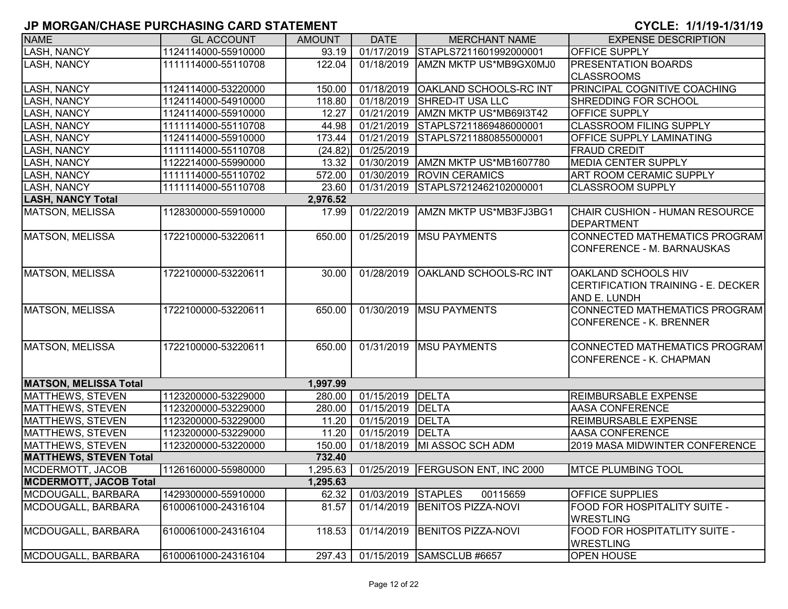| <b>NAME</b>                   | <b>GL ACCOUNT</b>   | <b>AMOUNT</b> | <b>DATE</b>         | <b>MERCHANT NAME</b>                 | <b>EXPENSE DESCRIPTION</b>                                                |
|-------------------------------|---------------------|---------------|---------------------|--------------------------------------|---------------------------------------------------------------------------|
| <b>LASH, NANCY</b>            | 1124114000-55910000 | 93.19         | $\sqrt{01/17/2019}$ | STAPLS7211601992000001               | OFFICE SUPPLY                                                             |
| LASH, NANCY                   | 1111114000-55110708 | 122.04        | 01/18/2019          | AMZN MKTP US*MB9GX0MJ0               | <b>PRESENTATION BOARDS</b>                                                |
|                               |                     |               |                     |                                      | <b>CLASSROOMS</b>                                                         |
| <b>LASH, NANCY</b>            | 1124114000-53220000 | 150.00        | 01/18/2019          | <b>OAKLAND SCHOOLS-RC INT</b>        | <b>PRINCIPAL COGNITIVE COACHING</b>                                       |
| <b>LASH, NANCY</b>            | 1124114000-54910000 | 118.80        | 01/18/2019          | <b>SHRED-IT USA LLC</b>              | SHREDDING FOR SCHOOL                                                      |
| LASH, NANCY                   | 1124114000-55910000 | 12.27         | 01/21/2019          | AMZN MKTP US*MB69I3T42               | <b>OFFICE SUPPLY</b>                                                      |
| <b>LASH, NANCY</b>            | 1111114000-55110708 | 44.98         | 01/21/2019          | STAPLS7211869486000001               | <b>CLASSROOM FILING SUPPLY</b>                                            |
| <b>LASH, NANCY</b>            | 1124114000-55910000 | 173.44        | 01/21/2019          | STAPLS7211880855000001               | <b>OFFICE SUPPLY LAMINATING</b>                                           |
| <b>LASH, NANCY</b>            | 1111114000-55110708 | (24.82)       | 01/25/2019          |                                      | <b>FRAUD CREDIT</b>                                                       |
| <b>LASH, NANCY</b>            | 1122214000-55990000 | 13.32         | 01/30/2019          | AMZN MKTP US*MB1607780               | <b>MEDIA CENTER SUPPLY</b>                                                |
| <b>LASH, NANCY</b>            | 1111114000-55110702 | 572.00        | 01/30/2019          | <b>ROVIN CERAMICS</b>                | ART ROOM CERAMIC SUPPLY                                                   |
| <b>LASH, NANCY</b>            | 1111114000-55110708 | 23.60         | 01/31/2019          | STAPLS7212462102000001               | <b>CLASSROOM SUPPLY</b>                                                   |
| <b>LASH, NANCY Total</b>      |                     | 2,976.52      |                     |                                      |                                                                           |
| <b>MATSON, MELISSA</b>        | 1128300000-55910000 | 17.99         | 01/22/2019          | AMZN MKTP US*MB3FJ3BG1               | CHAIR CUSHION - HUMAN RESOURCE<br>DEPARTMENT                              |
| MATSON, MELISSA               | 1722100000-53220611 | 650.00        | 01/25/2019          | <b>MSU PAYMENTS</b>                  | CONNECTED MATHEMATICS PROGRAM<br>CONFERENCE - M. BARNAUSKAS               |
| MATSON, MELISSA               | 1722100000-53220611 | 30.00         | 01/28/2019          | OAKLAND SCHOOLS-RC INT               | OAKLAND SCHOOLS HIV<br>CERTIFICATION TRAINING - E. DECKER<br>AND E. LUNDH |
| <b>MATSON, MELISSA</b>        | 1722100000-53220611 | 650.00        | 01/30/2019          | <b>MSU PAYMENTS</b>                  | CONNECTED MATHEMATICS PROGRAM<br><b>CONFERENCE - K. BRENNER</b>           |
| <b>MATSON, MELISSA</b>        | 1722100000-53220611 | 650.00        |                     | 01/31/2019   MSU PAYMENTS            | CONNECTED MATHEMATICS PROGRAM<br>CONFERENCE - K. CHAPMAN                  |
| <b>MATSON, MELISSA Total</b>  |                     | 1,997.99      |                     |                                      |                                                                           |
| MATTHEWS, STEVEN              | 1123200000-53229000 | 280.00        | 01/15/2019 DELTA    |                                      | <b>REIMBURSABLE EXPENSE</b>                                               |
| MATTHEWS, STEVEN              | 1123200000-53229000 | 280.00        | 01/15/2019          | DELTA                                | AASA CONFERENCE                                                           |
| MATTHEWS, STEVEN              | 1123200000-53229000 | 11.20         | 01/15/2019          | DELTA                                | REIMBURSABLE EXPENSE                                                      |
| MATTHEWS, STEVEN              | 1123200000-53229000 | 11.20         | 01/15/2019 DELTA    |                                      | AASA CONFERENCE                                                           |
| <b>MATTHEWS, STEVEN</b>       | 1123200000-53220000 | 150.00        |                     | 01/18/2019 MI ASSOC SCH ADM          | 2019 MASA MIDWINTER CONFERENCE                                            |
| <b>MATTHEWS, STEVEN Total</b> |                     | 732.40        |                     |                                      |                                                                           |
| MCDERMOTT, JACOB              | 1126160000-55980000 | 1,295.63      |                     | 01/25/2019   FERGUSON ENT, INC 2000  | <b>MTCE PLUMBING TOOL</b>                                                 |
| <b>MCDERMOTT, JACOB Total</b> |                     | 1,295.63      |                     |                                      |                                                                           |
| MCDOUGALL, BARBARA            | 1429300000-55910000 | 62.32         | 01/03/2019 STAPLES  | 00115659                             | OFFICE SUPPLIES                                                           |
| MCDOUGALL, BARBARA            | 6100061000-24316104 | 81.57         | 01/14/2019          | <b>BENITOS PIZZA-NOVI</b>            | <b>FOOD FOR HOSPITALITY SUITE -</b><br><b>WRESTLING</b>                   |
| MCDOUGALL, BARBARA            | 6100061000-24316104 | 118.53        | 01/14/2019          | <b>BENITOS PIZZA-NOVI</b>            | FOOD FOR HOSPITATLITY SUITE -<br><b>WRESTLING</b>                         |
| MCDOUGALL, BARBARA            | 6100061000-24316104 |               |                     | 297.43   01/15/2019   SAMSCLUB #6657 | <b>OPEN HOUSE</b>                                                         |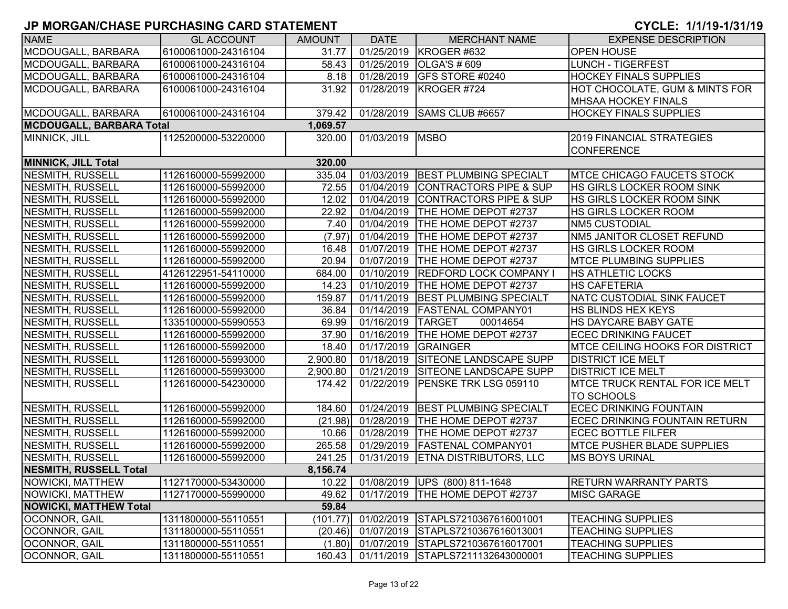| <b>NAME</b>                     | <b>GL ACCOUNT</b>   | <b>AMOUNT</b> | <b>DATE</b> | <b>MERCHANT NAME</b>              | <b>EXPENSE DESCRIPTION</b>             |
|---------------------------------|---------------------|---------------|-------------|-----------------------------------|----------------------------------------|
| MCDOUGALL, BARBARA              | 6100061000-24316104 | 31.77         |             | 01/25/2019 KROGER #632            | <b>OPEN HOUSE</b>                      |
| MCDOUGALL, BARBARA              | 6100061000-24316104 | 58.43         | 01/25/2019  | <b>OLGA'S # 609</b>               | <b>LUNCH - TIGERFEST</b>               |
| MCDOUGALL, BARBARA              | 6100061000-24316104 | 8.18          | 01/28/2019  | <b>GFS STORE #0240</b>            | <b>HOCKEY FINALS SUPPLIES</b>          |
| MCDOUGALL, BARBARA              | 6100061000-24316104 | 31.92         | 01/28/2019  | KROGER #724                       | HOT CHOCOLATE, GUM & MINTS FOR         |
|                                 |                     |               |             |                                   | <b>MHSAA HOCKEY FINALS</b>             |
| MCDOUGALL, BARBARA              | 6100061000-24316104 | 379.42        |             | 01/28/2019 SAMS CLUB #6657        | <b>HOCKEY FINALS SUPPLIES</b>          |
| <b>MCDOUGALL, BARBARA Total</b> |                     | 1,069.57      |             |                                   |                                        |
| MINNICK, JILL                   | 1125200000-53220000 | 320.00        | 01/03/2019  | <b>MSBO</b>                       | <b>2019 FINANCIAL STRATEGIES</b>       |
|                                 |                     |               |             |                                   | <b>CONFERENCE</b>                      |
| <b>MINNICK, JILL Total</b>      |                     | 320.00        |             |                                   |                                        |
| <b>NESMITH, RUSSELL</b>         | 1126160000-55992000 | 335.04        | 01/03/2019  | <b>BEST PLUMBING SPECIALT</b>     | <b>IMTCE CHICAGO FAUCETS STOCK</b>     |
| <b>NESMITH, RUSSELL</b>         | 1126160000-55992000 | 72.55         | 01/04/2019  | <b>CONTRACTORS PIPE &amp; SUP</b> | HS GIRLS LOCKER ROOM SINK              |
| <b>NESMITH, RUSSELL</b>         | 1126160000-55992000 | 12.02         | 01/04/2019  | <b>CONTRACTORS PIPE &amp; SUP</b> | HS GIRLS LOCKER ROOM SINK              |
| <b>NESMITH, RUSSELL</b>         | 1126160000-55992000 | 22.92         | 01/04/2019  | <b>THE HOME DEPOT #2737</b>       | HS GIRLS LOCKER ROOM                   |
| <b>NESMITH, RUSSELL</b>         | 1126160000-55992000 | 7.40          | 01/04/2019  | <b>THE HOME DEPOT #2737</b>       | <b>NM5 CUSTODIAL</b>                   |
| <b>NESMITH, RUSSELL</b>         | 1126160000-55992000 | (7.97)        | 01/04/2019  | <b>THE HOME DEPOT #2737</b>       | NM5 JANITOR CLOSET REFUND              |
| <b>NESMITH, RUSSELL</b>         | 1126160000-55992000 | 16.48         | 01/07/2019  | <b>THE HOME DEPOT #2737</b>       | <b>HS GIRLS LOCKER ROOM</b>            |
| <b>NESMITH, RUSSELL</b>         | 1126160000-55992000 | 20.94         | 01/07/2019  | <b>ITHE HOME DEPOT #2737</b>      | <b>IMTCE PLUMBING SUPPLIES</b>         |
| NESMITH, RUSSELL                | 4126122951-54110000 | 684.00        | 01/10/2019  | <b>REDFORD LOCK COMPANY I</b>     | <b>HS ATHLETIC LOCKS</b>               |
| NESMITH, RUSSELL                | 1126160000-55992000 | 14.23         | 01/10/2019  | <b>THE HOME DEPOT #2737</b>       | HS CAFETERIA                           |
| NESMITH, RUSSELL                | 1126160000-55992000 | 159.87        | 01/11/2019  | <b>BEST PLUMBING SPECIALT</b>     | NATC CUSTODIAL SINK FAUCET             |
| NESMITH, RUSSELL                | 1126160000-55992000 | 36.84         | 01/14/2019  | <b>FASTENAL COMPANY01</b>         | HS BLINDS HEX KEYS                     |
| NESMITH, RUSSELL                | 1335100000-55990553 | 69.99         | 01/16/2019  | <b>TARGET</b><br>00014654         | HS DAYCARE BABY GATE                   |
| <b>NESMITH, RUSSELL</b>         | 1126160000-55992000 | 37.90         | 01/16/2019  | <b>THE HOME DEPOT #2737</b>       | <b>ECEC DRINKING FAUCET</b>            |
| <b>NESMITH, RUSSELL</b>         | 1126160000-55992000 | 18.40         | 01/17/2019  | <b>GRAINGER</b>                   | <b>MTCE CEILING HOOKS FOR DISTRICT</b> |
| <b>NESMITH, RUSSELL</b>         | 1126160000-55993000 | 2,900.80      | 01/18/2019  | <b>SITEONE LANDSCAPE SUPP</b>     | <b>DISTRICT ICE MELT</b>               |
| <b>NESMITH, RUSSELL</b>         | 1126160000-55993000 | 2,900.80      | 01/21/2019  | <b>SITEONE LANDSCAPE SUPP</b>     | <b>DISTRICT ICE MELT</b>               |
| <b>NESMITH, RUSSELL</b>         | 1126160000-54230000 | 174.42        | 01/22/2019  | PENSKE TRK LSG 059110             | <b>MTCE TRUCK RENTAL FOR ICE MELT</b>  |
|                                 |                     |               |             |                                   | <b>TO SCHOOLS</b>                      |
| NESMITH, RUSSELL                | 1126160000-55992000 | 184.60        |             | 01/24/2019 BEST PLUMBING SPECIALT | <b>ECEC DRINKING FOUNTAIN</b>          |
| <b>NESMITH, RUSSELL</b>         | 1126160000-55992000 | (21.98)       | 01/28/2019  | <b>THE HOME DEPOT #2737</b>       | <b>ECEC DRINKING FOUNTAIN RETURN</b>   |
| <b>NESMITH, RUSSELL</b>         | 1126160000-55992000 | 10.66         | 01/28/2019  | <b>THE HOME DEPOT #2737</b>       | <b>ECEC BOTTLE FILFER</b>              |
| <b>NESMITH, RUSSELL</b>         | 1126160000-55992000 | 265.58        |             | 01/29/2019   FASTENAL COMPANY01   | <b>MTCE PUSHER BLADE SUPPLIES</b>      |
| <b>NESMITH, RUSSELL</b>         | 1126160000-55992000 | 241.25        |             | 01/31/2019 ETNA DISTRIBUTORS, LLC | <b>MS BOYS URINAL</b>                  |
| <b>NESMITH, RUSSELL Total</b>   |                     | 8,156.74      |             |                                   |                                        |
| NOWICKI, MATTHEW                | 1127170000-53430000 | 10.22         |             | 01/08/2019 UPS (800) 811-1648     | <b>RETURN WARRANTY PARTS</b>           |
| NOWICKI, MATTHEW                | 1127170000-55990000 | 49.62         |             | 01/17/2019   THE HOME DEPOT #2737 | <b>MISC GARAGE</b>                     |
| <b>NOWICKI, MATTHEW Total</b>   |                     | 59.84         |             |                                   |                                        |
| <b>OCONNOR, GAIL</b>            | 1311800000-55110551 | (101.77)      | 01/02/2019  | STAPLS7210367616001001            | <b>TEACHING SUPPLIES</b>               |
| OCONNOR, GAIL                   | 1311800000-55110551 | (20.46)       | 01/07/2019  | STAPLS7210367616013001            | <b>TEACHING SUPPLIES</b>               |
| OCONNOR, GAIL                   | 1311800000-55110551 | (1.80)        | 01/07/2019  | STAPLS7210367616017001            | <b>TEACHING SUPPLIES</b>               |
| OCONNOR, GAIL                   | 1311800000-55110551 | 160.43        | 01/11/2019  | STAPLS7211132643000001            | <b>TEACHING SUPPLIES</b>               |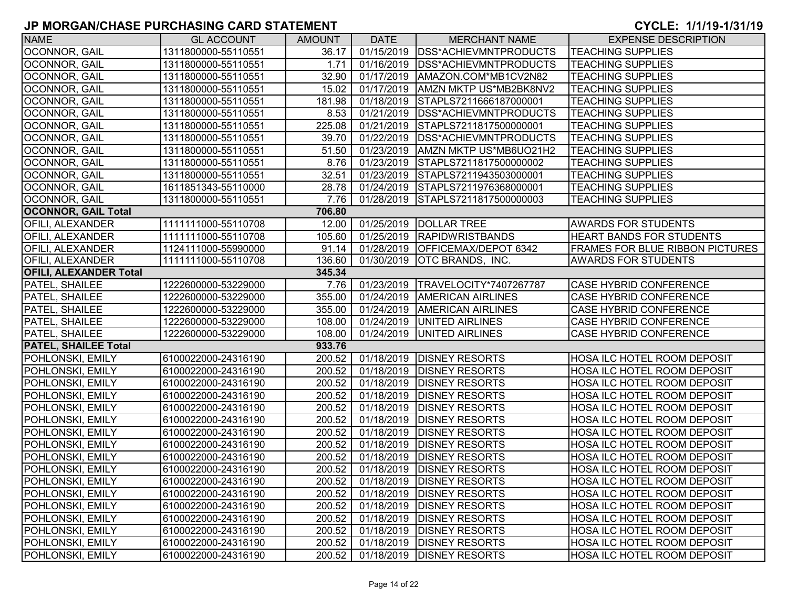| <b>NAME</b>                   | <b>GL ACCOUNT</b>   | <b>AMOUNT</b> | <b>DATE</b>             | <b>MERCHANT NAME</b>                 | <b>EXPENSE DESCRIPTION</b>             |
|-------------------------------|---------------------|---------------|-------------------------|--------------------------------------|----------------------------------------|
| OCONNOR, GAIL                 | 1311800000-55110551 | 36.17         | $\overline{01}/15/2019$ | <b>IDSS*ACHIEVMNTPRODUCTS</b>        | <b>TEACHING SUPPLIES</b>               |
| OCONNOR, GAIL                 | 1311800000-55110551 | 1.71          | 01/16/2019              | <b>IDSS*ACHIEVMNTPRODUCTS</b>        | <b>TEACHING SUPPLIES</b>               |
| OCONNOR, GAIL                 | 1311800000-55110551 | 32.90         | 01/17/2019              | AMAZON.COM*MB1CV2N82                 | <b>TEACHING SUPPLIES</b>               |
| OCONNOR, GAIL                 | 1311800000-55110551 | 15.02         | 01/17/2019              | AMZN MKTP US*MB2BK8NV2               | <b>TEACHING SUPPLIES</b>               |
| OCONNOR, GAIL                 | 1311800000-55110551 | 181.98        | 01/18/2019              | STAPLS7211666187000001               | <b>TEACHING SUPPLIES</b>               |
| OCONNOR, GAIL                 | 1311800000-55110551 | 8.53          | 01/21/2019              | <b>IDSS*ACHIEVMNTPRODUCTS</b>        | <b>TEACHING SUPPLIES</b>               |
| OCONNOR, GAIL                 | 1311800000-55110551 | 225.08        | 01/21/2019              | STAPLS7211817500000001               | <b>TEACHING SUPPLIES</b>               |
| OCONNOR, GAIL                 | 1311800000-55110551 | 39.70         | 01/22/2019              | <b>IDSS*ACHIEVMNTPRODUCTS</b>        | <b>TEACHING SUPPLIES</b>               |
| OCONNOR, GAIL                 | 1311800000-55110551 | 51.50         | 01/23/2019              | AMZN MKTP US*MB6UO21H2               | <b>TEACHING SUPPLIES</b>               |
| OCONNOR, GAIL                 | 1311800000-55110551 | 8.76          | 01/23/2019              | STAPLS7211817500000002               | <b>TEACHING SUPPLIES</b>               |
| OCONNOR, GAIL                 | 1311800000-55110551 | 32.51         | 01/23/2019              | STAPLS7211943503000001               | <b>TEACHING SUPPLIES</b>               |
| OCONNOR, GAIL                 | 1611851343-55110000 | 28.78         |                         | 01/24/2019 STAPLS7211976368000001    | <b>TEACHING SUPPLIES</b>               |
| OCONNOR, GAIL                 | 1311800000-55110551 | 7.76          |                         | 01/28/2019 STAPLS7211817500000003    | <b>TEACHING SUPPLIES</b>               |
| <b>OCONNOR, GAIL Total</b>    |                     | 706.80        |                         |                                      |                                        |
| <b>OFILI, ALEXANDER</b>       | 1111111000-55110708 | 12.00         | 01/25/2019              | <b>DOLLAR TREE</b>                   | <b>AWARDS FOR STUDENTS</b>             |
| <b>OFILI, ALEXANDER</b>       | 1111111000-55110708 | 105.60        | 01/25/2019              | <b>RAPIDWRISTBANDS</b>               | <b>HEART BANDS FOR STUDENTS</b>        |
| <b>OFILI, ALEXANDER</b>       | 1124111000-55990000 | 91.14         | 01/28/2019              | OFFICEMAX/DEPOT 6342                 | <b>FRAMES FOR BLUE RIBBON PICTURES</b> |
| <b>OFILI, ALEXANDER</b>       | 1111111000-55110708 | 136.60        | 01/30/2019              | OTC BRANDS, INC.                     | <b>AWARDS FOR STUDENTS</b>             |
| <b>OFILI, ALEXANDER Total</b> |                     | 345.34        |                         |                                      |                                        |
| PATEL, SHAILEE                | 1222600000-53229000 | 7.76          | 01/23/2019              | TRAVELOCITY*7407267787               | <b>CASE HYBRID CONFERENCE</b>          |
| <b>PATEL, SHAILEE</b>         | 1222600000-53229000 | 355.00        | 01/24/2019              | <b>AMERICAN AIRLINES</b>             | <b>CASE HYBRID CONFERENCE</b>          |
| <b>PATEL, SHAILEE</b>         | 1222600000-53229000 | 355.00        | 01/24/2019              | <b>AMERICAN AIRLINES</b>             | <b>CASE HYBRID CONFERENCE</b>          |
| PATEL, SHAILEE                | 1222600000-53229000 | 108.00        | 01/24/2019              | <b>UNITED AIRLINES</b>               | <b>CASE HYBRID CONFERENCE</b>          |
| PATEL, SHAILEE                | 1222600000-53229000 | 108.00        | 01/24/2019              | UNITED AIRLINES                      | <b>CASE HYBRID CONFERENCE</b>          |
| <b>PATEL, SHAILEE Total</b>   |                     | 933.76        |                         |                                      |                                        |
| POHLONSKI, EMILY              | 6100022000-24316190 | 200.52        | 01/18/2019              | <b>DISNEY RESORTS</b>                | <b>HOSA ILC HOTEL ROOM DEPOSIT</b>     |
| POHLONSKI, EMILY              | 6100022000-24316190 | 200.52        | 01/18/2019              | <b>DISNEY RESORTS</b>                | <b>HOSA ILC HOTEL ROOM DEPOSIT</b>     |
| <b>POHLONSKI, EMILY</b>       | 6100022000-24316190 | 200.52        | 01/18/2019              | <b>DISNEY RESORTS</b>                | <b>HOSA ILC HOTEL ROOM DEPOSIT</b>     |
| POHLONSKI, EMILY              | 6100022000-24316190 | 200.52        | 01/18/2019              | <b>DISNEY RESORTS</b>                | HOSA ILC HOTEL ROOM DEPOSIT            |
| POHLONSKI, EMILY              | 6100022000-24316190 | 200.52        | 01/18/2019              | <b>DISNEY RESORTS</b>                | <b>HOSA ILC HOTEL ROOM DEPOSIT</b>     |
| <b>POHLONSKI, EMILY</b>       | 6100022000-24316190 | 200.52        | 01/18/2019              | <b>DISNEY RESORTS</b>                | <b>HOSA ILC HOTEL ROOM DEPOSIT</b>     |
| POHLONSKI, EMILY              | 6100022000-24316190 | 200.52        | 01/18/2019              | <b>DISNEY RESORTS</b>                | <b>HOSA ILC HOTEL ROOM DEPOSIT</b>     |
| POHLONSKI, EMILY              | 6100022000-24316190 | 200.52        | 01/18/2019              | <b>DISNEY RESORTS</b>                | HOSA ILC HOTEL ROOM DEPOSIT            |
| <b>POHLONSKI, EMILY</b>       | 6100022000-24316190 | 200.52        | 01/18/2019              | <b>DISNEY RESORTS</b>                | <b>HOSA ILC HOTEL ROOM DEPOSIT</b>     |
| POHLONSKI, EMILY              | 6100022000-24316190 | 200.52        |                         | 01/18/2019   DISNEY RESORTS          | <b>HOSA ILC HOTEL ROOM DEPOSIT</b>     |
| POHLONSKI, EMILY              | 6100022000-24316190 |               |                         | 200.52   01/18/2019   DISNEY RESORTS | HOSA ILC HOTEL ROOM DEPOSIT            |
| <b>POHLONSKI, EMILY</b>       | 6100022000-24316190 | 200.52        |                         | 01/18/2019   DISNEY RESORTS          | <b>HOSA ILC HOTEL ROOM DEPOSIT</b>     |
| POHLONSKI, EMILY              | 6100022000-24316190 | 200.52        |                         | 01/18/2019   DISNEY RESORTS          | <b>HOSA ILC HOTEL ROOM DEPOSIT</b>     |
| <b>POHLONSKI, EMILY</b>       | 6100022000-24316190 | 200.52        |                         | 01/18/2019   DISNEY RESORTS          | <b>HOSA ILC HOTEL ROOM DEPOSIT</b>     |
| POHLONSKI, EMILY              | 6100022000-24316190 | 200.52        | 01/18/2019              | <b>DISNEY RESORTS</b>                | <b>HOSA ILC HOTEL ROOM DEPOSIT</b>     |
| POHLONSKI, EMILY              | 6100022000-24316190 | 200.52        | 01/18/2019              | <b>DISNEY RESORTS</b>                | <b>HOSA ILC HOTEL ROOM DEPOSIT</b>     |
| POHLONSKI, EMILY              | 6100022000-24316190 | 200.52        | 01/18/2019              | <b>DISNEY RESORTS</b>                | HOSA ILC HOTEL ROOM DEPOSIT            |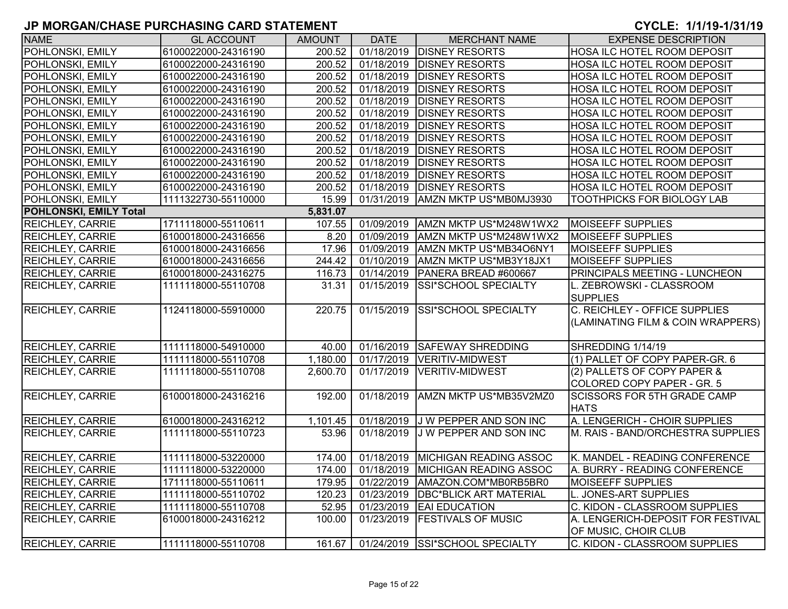| <b>NAME</b>                   | <b>GL ACCOUNT</b>   | <b>AMOUNT</b> | <b>DATE</b> | <b>MERCHANT NAME</b>            | <b>EXPENSE DESCRIPTION</b>         |
|-------------------------------|---------------------|---------------|-------------|---------------------------------|------------------------------------|
| POHLONSKI, EMILY              | 6100022000-24316190 | 200.52        | 01/18/2019  | <b>DISNEY RESORTS</b>           | HOSA ILC HOTEL ROOM DEPOSIT        |
| POHLONSKI, EMILY              | 6100022000-24316190 | 200.52        | 01/18/2019  | <b>DISNEY RESORTS</b>           | <b>HOSA ILC HOTEL ROOM DEPOSIT</b> |
| POHLONSKI, EMILY              | 6100022000-24316190 | 200.52        | 01/18/2019  | <b>DISNEY RESORTS</b>           | HOSA ILC HOTEL ROOM DEPOSIT        |
| POHLONSKI, EMILY              | 6100022000-24316190 | 200.52        | 01/18/2019  | <b>DISNEY RESORTS</b>           | <b>HOSA ILC HOTEL ROOM DEPOSIT</b> |
| POHLONSKI, EMILY              | 6100022000-24316190 | 200.52        | 01/18/2019  | <b>DISNEY RESORTS</b>           | HOSA ILC HOTEL ROOM DEPOSIT        |
| POHLONSKI, EMILY              | 6100022000-24316190 | 200.52        | 01/18/2019  | <b>DISNEY RESORTS</b>           | HOSA ILC HOTEL ROOM DEPOSIT        |
| POHLONSKI, EMILY              | 6100022000-24316190 | 200.52        | 01/18/2019  | <b>DISNEY RESORTS</b>           | HOSA ILC HOTEL ROOM DEPOSIT        |
| POHLONSKI, EMILY              | 6100022000-24316190 | 200.52        | 01/18/2019  | <b>DISNEY RESORTS</b>           | HOSA ILC HOTEL ROOM DEPOSIT        |
| POHLONSKI, EMILY              | 6100022000-24316190 | 200.52        | 01/18/2019  | <b>DISNEY RESORTS</b>           | HOSA ILC HOTEL ROOM DEPOSIT        |
| POHLONSKI, EMILY              | 6100022000-24316190 | 200.52        | 01/18/2019  | <b>DISNEY RESORTS</b>           | HOSA ILC HOTEL ROOM DEPOSIT        |
| POHLONSKI, EMILY              | 6100022000-24316190 | 200.52        | 01/18/2019  | <b>DISNEY RESORTS</b>           | HOSA ILC HOTEL ROOM DEPOSIT        |
| POHLONSKI, EMILY              | 6100022000-24316190 | 200.52        | 01/18/2019  | <b>DISNEY RESORTS</b>           | HOSA ILC HOTEL ROOM DEPOSIT        |
| POHLONSKI, EMILY              | 1111322730-55110000 | 15.99         | 01/31/2019  | AMZN MKTP US*MB0MJ3930          | TOOTHPICKS FOR BIOLOGY LAB         |
| <b>POHLONSKI, EMILY Total</b> |                     | 5,831.07      |             |                                 |                                    |
| <b>REICHLEY, CARRIE</b>       | 1711118000-55110611 | 107.55        | 01/09/2019  | AMZN MKTP US*M248W1WX2          | <b>MOISEEFF SUPPLIES</b>           |
| <b>REICHLEY, CARRIE</b>       | 6100018000-24316656 | 8.20          | 01/09/2019  | AMZN MKTP US*M248W1WX2          | <b>MOISEEFF SUPPLIES</b>           |
| <b>REICHLEY, CARRIE</b>       | 6100018000-24316656 | 17.96         | 01/09/2019  | AMZN MKTP US*MB34O6NY1          | <b>MOISEEFF SUPPLIES</b>           |
| <b>REICHLEY, CARRIE</b>       | 6100018000-24316656 | 244.42        | 01/10/2019  | AMZN MKTP US*MB3Y18JX1          | <b>MOISEEFF SUPPLIES</b>           |
| <b>REICHLEY, CARRIE</b>       | 6100018000-24316275 | 116.73        | 01/14/2019  | PANERA BREAD #600667            | PRINCIPALS MEETING - LUNCHEON      |
| <b>REICHLEY, CARRIE</b>       | 1111118000-55110708 | 31.31         | 01/15/2019  | <b>SSI*SCHOOL SPECIALTY</b>     | L. ZEBROWSKI - CLASSROOM           |
|                               |                     |               |             |                                 | <b>SUPPLIES</b>                    |
| <b>REICHLEY, CARRIE</b>       | 1124118000-55910000 | 220.75        | 01/15/2019  | SSI*SCHOOL SPECIALTY            | C. REICHLEY - OFFICE SUPPLIES      |
|                               |                     |               |             |                                 | (LAMINATING FILM & COIN WRAPPERS)  |
|                               |                     |               |             |                                 |                                    |
| <b>REICHLEY, CARRIE</b>       | 1111118000-54910000 | 40.00         |             | 01/16/2019 SAFEWAY SHREDDING    | SHREDDING 1/14/19                  |
| <b>REICHLEY, CARRIE</b>       | 1111118000-55110708 | 1,180.00      | 01/17/2019  | <b>VERITIV-MIDWEST</b>          | (1) PALLET OF COPY PAPER-GR. 6     |
| <b>REICHLEY, CARRIE</b>       | 1111118000-55110708 | 2,600.70      | 01/17/2019  | <b>VERITIV-MIDWEST</b>          | (2) PALLETS OF COPY PAPER &        |
|                               |                     |               |             |                                 | COLORED COPY PAPER - GR. 5         |
| <b>REICHLEY, CARRIE</b>       | 6100018000-24316216 | 192.00        | 01/18/2019  | AMZN MKTP US*MB35V2MZ0          | <b>SCISSORS FOR 5TH GRADE CAMP</b> |
|                               |                     |               |             |                                 | <b>HATS</b>                        |
| <b>REICHLEY, CARRIE</b>       | 6100018000-24316212 | 1,101.45      | 01/18/2019  | J W PEPPER AND SON INC          | A. LENGERICH - CHOIR SUPPLIES      |
| <b>REICHLEY, CARRIE</b>       | 1111118000-55110723 | 53.96         | 01/18/2019  | J W PEPPER AND SON INC          | M. RAIS - BAND/ORCHESTRA SUPPLIES  |
|                               |                     |               |             |                                 |                                    |
| <b>REICHLEY, CARRIE</b>       | 1111118000-53220000 | 174.00        | 01/18/2019  | MICHIGAN READING ASSOC          | K. MANDEL - READING CONFERENCE     |
| <b>REICHLEY, CARRIE</b>       | 1111118000-53220000 | 174.00        | 01/18/2019  | MICHIGAN READING ASSOC          | A. BURRY - READING CONFERENCE      |
| <b>REICHLEY, CARRIE</b>       | 1711118000-55110611 | 179.95        | 01/22/2019  | AMAZON.COM*MB0RB5BR0            | MOISEEFF SUPPLIES                  |
| <b>REICHLEY, CARRIE</b>       | 1111118000-55110702 | 120.23        | 01/23/2019  | <b>DBC*BLICK ART MATERIAL</b>   | L. JONES-ART SUPPLIES              |
| <b>REICHLEY, CARRIE</b>       | 1111118000-55110708 | 52.95         | 01/23/2019  | <b>EAI EDUCATION</b>            | C. KIDON - CLASSROOM SUPPLIES      |
| <b>REICHLEY, CARRIE</b>       | 6100018000-24316212 | 100.00        | 01/23/2019  | <b>FESTIVALS OF MUSIC</b>       | A. LENGERICH-DEPOSIT FOR FESTIVAL  |
|                               |                     |               |             |                                 | OF MUSIC, CHOIR CLUB               |
| <b>REICHLEY, CARRIE</b>       | 1111118000-55110708 | 161.67        |             | 01/24/2019 SSI*SCHOOL SPECIALTY | C. KIDON - CLASSROOM SUPPLIES      |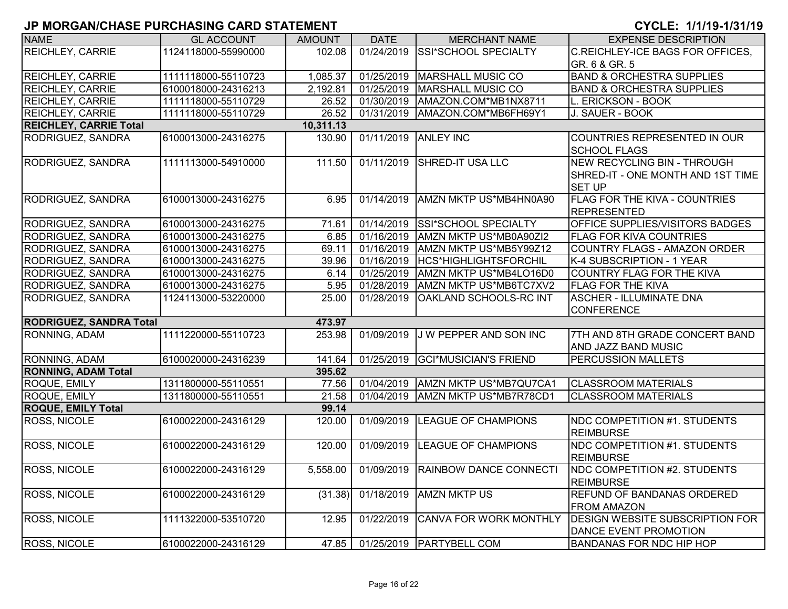| <b>NAME</b>                    | <b>GL ACCOUNT</b>   | <b>AMOUNT</b>         | <b>DATE</b> | <b>MERCHANT NAME</b>              | <b>EXPENSE DESCRIPTION</b>             |
|--------------------------------|---------------------|-----------------------|-------------|-----------------------------------|----------------------------------------|
| <b>REICHLEY, CARRIE</b>        | 1124118000-55990000 | 102.08                | 01/24/2019  | SSI*SCHOOL SPECIALTY              | C.REICHLEY-ICE BAGS FOR OFFICES,       |
|                                |                     |                       |             |                                   | GR. 6 & GR. 5                          |
| <b>REICHLEY, CARRIE</b>        | 1111118000-55110723 | 1,085.37              | 01/25/2019  | <b>MARSHALL MUSIC CO</b>          | <b>BAND &amp; ORCHESTRA SUPPLIES</b>   |
| <b>REICHLEY, CARRIE</b>        | 6100018000-24316213 | $\overline{2,}192.81$ | 01/25/2019  | <b>MARSHALL MUSIC CO</b>          | <b>BAND &amp; ORCHESTRA SUPPLIES</b>   |
| <b>REICHLEY, CARRIE</b>        | 1111118000-55110729 | 26.52                 | 01/30/2019  | AMAZON.COM*MB1NX8711              | L. ERICKSON - BOOK                     |
| <b>REICHLEY, CARRIE</b>        | 1111118000-55110729 | 26.52                 | 01/31/2019  | AMAZON.COM*MB6FH69Y1              | J. SAUER - BOOK                        |
| <b>REICHLEY, CARRIE Total</b>  |                     | 10,311.13             |             |                                   |                                        |
| RODRIGUEZ, SANDRA              | 6100013000-24316275 | 130.90                | 01/11/2019  | <b>ANLEY INC</b>                  | COUNTRIES REPRESENTED IN OUR           |
|                                |                     |                       |             |                                   | <b>SCHOOL FLAGS</b>                    |
| RODRIGUEZ, SANDRA              | 1111113000-54910000 | 111.50                | 01/11/2019  | SHRED-IT USA LLC                  | <b>NEW RECYCLING BIN - THROUGH</b>     |
|                                |                     |                       |             |                                   | SHRED-IT - ONE MONTH AND 1ST TIME      |
|                                |                     |                       |             |                                   | <b>SET UP</b>                          |
| RODRIGUEZ, SANDRA              | 6100013000-24316275 | 6.95                  | 01/14/2019  | AMZN MKTP US*MB4HN0A90            | FLAG FOR THE KIVA - COUNTRIES          |
|                                |                     |                       |             |                                   | <b>REPRESENTED</b>                     |
| RODRIGUEZ, SANDRA              | 6100013000-24316275 | 71.61                 |             | 01/14/2019 SSI*SCHOOL SPECIALTY   | OFFICE SUPPLIES/VISITORS BADGES        |
| RODRIGUEZ, SANDRA              | 6100013000-24316275 | 6.85                  | 01/16/2019  | AMZN MKTP US*MB0A90ZI2            | <b>FLAG FOR KIVA COUNTRIES</b>         |
| RODRIGUEZ, SANDRA              | 6100013000-24316275 | 69.11                 | 01/16/2019  | AMZN MKTP US*MB5Y99Z12            | <b>COUNTRY FLAGS - AMAZON ORDER</b>    |
| RODRIGUEZ, SANDRA              | 6100013000-24316275 | 39.96                 | 01/16/2019  | HCS*HIGHLIGHTSFORCHIL             | K-4 SUBSCRIPTION - 1 YEAR              |
| RODRIGUEZ, SANDRA              | 6100013000-24316275 | 6.14                  | 01/25/2019  | AMZN MKTP US*MB4LO16D0            | COUNTRY FLAG FOR THE KIVA              |
| RODRIGUEZ, SANDRA              | 6100013000-24316275 | 5.95                  | 01/28/2019  | AMZN MKTP US*MB6TC7XV2            | <b>FLAG FOR THE KIVA</b>               |
| RODRIGUEZ, SANDRA              | 1124113000-53220000 | 25.00                 | 01/28/2019  | <b>OAKLAND SCHOOLS-RC INT</b>     | <b>ASCHER - ILLUMINATE DNA</b>         |
|                                |                     |                       |             |                                   | <b>CONFERENCE</b>                      |
| <b>RODRIGUEZ, SANDRA Total</b> |                     | 473.97                |             |                                   |                                        |
| RONNING, ADAM                  | 1111220000-55110723 | 253.98                | 01/09/2019  | J W PEPPER AND SON INC            | 7TH AND 8TH GRADE CONCERT BAND         |
|                                |                     |                       |             |                                   | AND JAZZ BAND MUSIC                    |
| RONNING, ADAM                  | 6100020000-24316239 | 141.64                | 01/25/2019  | <b>GCI*MUSICIAN'S FRIEND</b>      | <b>PERCUSSION MALLETS</b>              |
| <b>RONNING, ADAM Total</b>     |                     | 395.62                |             |                                   |                                        |
| ROQUE, EMILY                   | 1311800000-55110551 | 77.56                 |             | 01/04/2019 AMZN MKTP US*MB7QU7CA1 | <b>CLASSROOM MATERIALS</b>             |
| <b>ROQUE, EMILY</b>            | 1311800000-55110551 | 21.58                 | 01/04/2019  | AMZN MKTP US*MB7R78CD1            | <b>CLASSROOM MATERIALS</b>             |
| <b>ROQUE, EMILY Total</b>      |                     | 99.14                 |             |                                   |                                        |
| <b>ROSS, NICOLE</b>            | 6100022000-24316129 | 120.00                | 01/09/2019  | <b>LEAGUE OF CHAMPIONS</b>        | NDC COMPETITION #1. STUDENTS           |
|                                |                     |                       |             |                                   | <b>REIMBURSE</b>                       |
| <b>ROSS, NICOLE</b>            | 6100022000-24316129 | 120.00                | 01/09/2019  | <b>LEAGUE OF CHAMPIONS</b>        | NDC COMPETITION #1. STUDENTS           |
|                                |                     |                       |             |                                   | <b>REIMBURSE</b>                       |
| <b>ROSS, NICOLE</b>            | 6100022000-24316129 | 5,558.00              | 01/09/2019  | <b>RAINBOW DANCE CONNECTI</b>     | <b>NDC COMPETITION #2. STUDENTS</b>    |
|                                |                     |                       |             |                                   | <b>REIMBURSE</b>                       |
| <b>ROSS, NICOLE</b>            | 6100022000-24316129 | (31.38)               | 01/18/2019  | <b>AMZN MKTP US</b>               | REFUND OF BANDANAS ORDERED             |
|                                |                     |                       |             |                                   | <b>FROM AMAZON</b>                     |
| <b>ROSS, NICOLE</b>            | 1111322000-53510720 | 12.95                 | 01/22/2019  | CANVA FOR WORK MONTHLY            | <b>DESIGN WEBSITE SUBSCRIPTION FOR</b> |
|                                |                     |                       |             |                                   | DANCE EVENT PROMOTION                  |
| <b>ROSS, NICOLE</b>            | 6100022000-24316129 | 47.85                 |             | 01/25/2019   PARTYBELL COM        | <b>BANDANAS FOR NDC HIP HOP</b>        |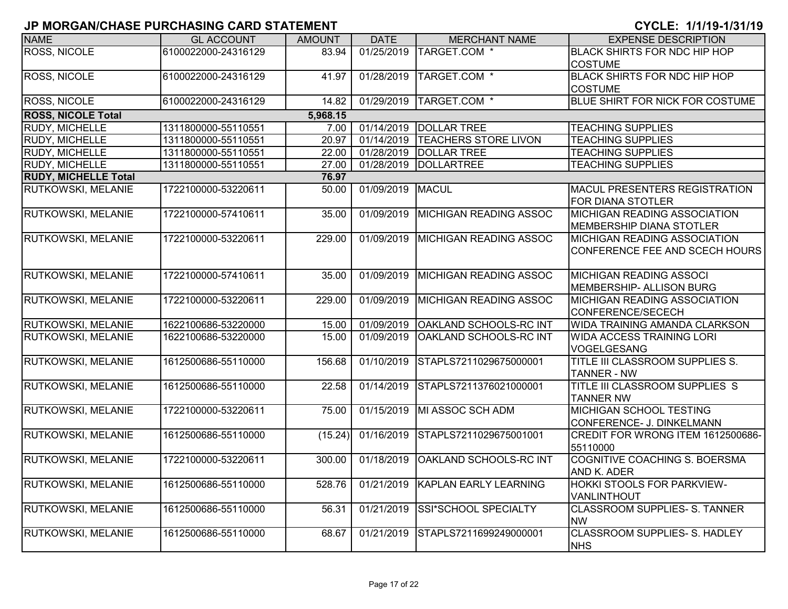| <b>NAME</b>                 | <b>GL ACCOUNT</b>   | <b>AMOUNT</b> | <b>DATE</b>             | <b>MERCHANT NAME</b>          | <b>EXPENSE DESCRIPTION</b>                          |
|-----------------------------|---------------------|---------------|-------------------------|-------------------------------|-----------------------------------------------------|
| ROSS, NICOLE                | 6100022000-24316129 | 83.94         | 01/25/2019              | TARGET.COM *                  | <b>BLACK SHIRTS FOR NDC HIP HOP</b>                 |
|                             |                     |               |                         |                               | <b>COSTUME</b>                                      |
| <b>ROSS, NICOLE</b>         | 6100022000-24316129 | 41.97         | 01/28/2019              | TARGET.COM *                  | <b>BLACK SHIRTS FOR NDC HIP HOP</b>                 |
|                             |                     |               |                         |                               | <b>COSTUME</b>                                      |
| <b>ROSS, NICOLE</b>         | 6100022000-24316129 | 14.82         | 01/29/2019              | TARGET.COM *                  | <b>BLUE SHIRT FOR NICK FOR COSTUME</b>              |
| <b>ROSS, NICOLE Total</b>   |                     | 5,968.15      |                         |                               |                                                     |
| <b>RUDY, MICHELLE</b>       | 1311800000-55110551 | 7.00          | 01/14/2019              | <b>DOLLAR TREE</b>            | <b>TEACHING SUPPLIES</b>                            |
| <b>RUDY, MICHELLE</b>       | 1311800000-55110551 | 20.97         | 01/14/2019              | <b>TEACHERS STORE LIVON</b>   | <b>TEACHING SUPPLIES</b>                            |
| <b>RUDY, MICHELLE</b>       | 1311800000-55110551 | 22.00         | 01/28/2019              | <b>DOLLAR TREE</b>            | <b>TEACHING SUPPLIES</b>                            |
| <b>RUDY, MICHELLE</b>       | 1311800000-55110551 | 27.00         | 01/28/2019              | DOLLARTREE                    | <b>TEACHING SUPPLIES</b>                            |
| <b>RUDY, MICHELLE Total</b> |                     | 76.97         |                         |                               |                                                     |
| RUTKOWSKI, MELANIE          | 1722100000-53220611 | 50.00         | 01/09/2019              | MACUL                         | <b>MACUL PRESENTERS REGISTRATION</b>                |
|                             |                     |               |                         |                               | <b>FOR DIANA STOTLER</b>                            |
| RUTKOWSKI, MELANIE          | 1722100000-57410611 | 35.00         | 01/09/2019              | <b>MICHIGAN READING ASSOC</b> | <b>MICHIGAN READING ASSOCIATION</b>                 |
|                             |                     |               |                         |                               | MEMBERSHIP DIANA STOTLER                            |
| RUTKOWSKI, MELANIE          | 1722100000-53220611 | 229.00        | 01/09/2019              | <b>MICHIGAN READING ASSOC</b> | <b>MICHIGAN READING ASSOCIATION</b>                 |
|                             |                     |               |                         |                               | CONFERENCE FEE AND SCECH HOURS                      |
|                             |                     |               |                         |                               |                                                     |
| RUTKOWSKI, MELANIE          | 1722100000-57410611 | 35.00         | 01/09/2019              | MICHIGAN READING ASSOC        | <b>MICHIGAN READING ASSOCI</b>                      |
|                             |                     |               |                         |                               | MEMBERSHIP- ALLISON BURG                            |
| RUTKOWSKI, MELANIE          | 1722100000-53220611 | 229.00        | 01/09/2019              | <b>MICHIGAN READING ASSOC</b> | <b>MICHIGAN READING ASSOCIATION</b>                 |
|                             |                     |               |                         |                               | CONFERENCE/SECECH                                   |
| <b>RUTKOWSKI, MELANIE</b>   | 1622100686-53220000 | 15.00         | 01/09/2019              | <b>OAKLAND SCHOOLS-RC INT</b> | WIDA TRAINING AMANDA CLARKSON                       |
| RUTKOWSKI, MELANIE          | 1622100686-53220000 | 15.00         | 01/09/2019              | OAKLAND SCHOOLS-RC INT        | <b>WIDA ACCESS TRAINING LORI</b>                    |
|                             |                     |               |                         |                               | VOGELGESANG                                         |
| RUTKOWSKI, MELANIE          | 1612500686-55110000 | 156.68        | 01/10/2019              | STAPLS7211029675000001        | <b>TITLE III CLASSROOM SUPPLIES S.</b>              |
|                             |                     |               |                         |                               | <b>TANNER - NW</b>                                  |
| RUTKOWSKI, MELANIE          | 1612500686-55110000 | 22.58         | 01/14/2019              | STAPLS7211376021000001        | TITLE III CLASSROOM SUPPLIES S                      |
|                             |                     |               |                         |                               | <b>TANNER NW</b>                                    |
| RUTKOWSKI, MELANIE          | 1722100000-53220611 | 75.00         | 01/15/2019              | MI ASSOC SCH ADM              | <b>MICHIGAN SCHOOL TESTING</b>                      |
|                             |                     |               |                         |                               | CONFERENCE- J. DINKELMANN                           |
| RUTKOWSKI, MELANIE          | 1612500686-55110000 | (15.24)       | 01/16/2019              | STAPLS7211029675001001        | CREDIT FOR WRONG ITEM 1612500686-                   |
|                             |                     |               |                         |                               | 55110000                                            |
| RUTKOWSKI, MELANIE          | 1722100000-53220611 | 300.00        | $\overline{01/18/2019}$ | OAKLAND SCHOOLS-RC INT        | COGNITIVE COACHING S. BOERSMA                       |
|                             |                     |               |                         |                               | AND K. ADER                                         |
| RUTKOWSKI, MELANIE          | 1612500686-55110000 | 528.76        | 01/21/2019              | KAPLAN EARLY LEARNING         | HOKKI STOOLS FOR PARKVIEW-                          |
|                             |                     |               |                         |                               |                                                     |
|                             |                     |               |                         |                               | VANLINTHOUT<br><b>CLASSROOM SUPPLIES- S. TANNER</b> |
| RUTKOWSKI, MELANIE          | 1612500686-55110000 | 56.31         | 01/21/2019              | SSI*SCHOOL SPECIALTY          | <b>NW</b>                                           |
|                             |                     |               |                         |                               |                                                     |
| RUTKOWSKI, MELANIE          | 1612500686-55110000 | 68.67         | $\overline{01/21}/2019$ | STAPLS7211699249000001        | <b>CLASSROOM SUPPLIES- S. HADLEY</b>                |
|                             |                     |               |                         |                               | <b>NHS</b>                                          |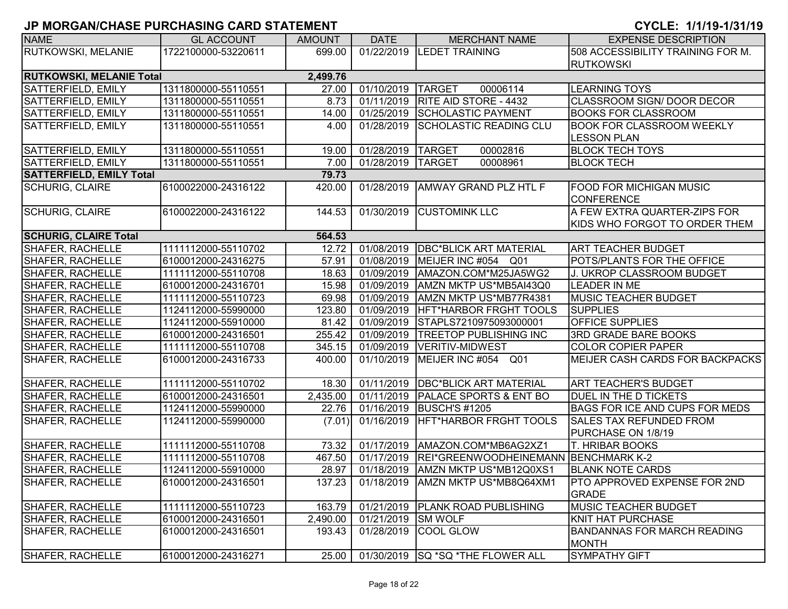| <b>NAME</b>                            | <b>GL ACCOUNT</b>   | <b>AMOUNT</b> | <b>DATE</b>        | <b>MERCHANT NAME</b>                  | <b>EXPENSE DESCRIPTION</b>            |  |  |
|----------------------------------------|---------------------|---------------|--------------------|---------------------------------------|---------------------------------------|--|--|
| RUTKOWSKI, MELANIE                     | 1722100000-53220611 | 699.00        |                    | 01/22/2019  LEDET TRAINING            | 508 ACCESSIBILITY TRAINING FOR M.     |  |  |
|                                        |                     |               |                    |                                       | <b>RUTKOWSKI</b>                      |  |  |
| <b>RUTKOWSKI, MELANIE Total</b>        |                     | 2,499.76      |                    |                                       |                                       |  |  |
| SATTERFIELD, EMILY                     | 1311800000-55110551 | 27.00         | 01/10/2019 TARGET  | 00006114                              | <b>LEARNING TOYS</b>                  |  |  |
| SATTERFIELD, EMILY                     | 1311800000-55110551 | 8.73          |                    | 01/11/2019 RITE AID STORE - 4432      | <b>CLASSROOM SIGN/ DOOR DECOR</b>     |  |  |
| SATTERFIELD, EMILY                     | 1311800000-55110551 | 14.00         |                    | 01/25/2019 SCHOLASTIC PAYMENT         | <b>BOOKS FOR CLASSROOM</b>            |  |  |
| SATTERFIELD, EMILY                     | 1311800000-55110551 | 4.00          | 01/28/2019         | SCHOLASTIC READING CLU                | <b>BOOK FOR CLASSROOM WEEKLY</b>      |  |  |
|                                        |                     |               |                    |                                       | <b>LESSON PLAN</b>                    |  |  |
| <b>SATTERFIELD, EMILY</b>              | 1311800000-55110551 | 19.00         | 01/28/2019 TARGET  | 00002816                              | <b>BLOCK TECH TOYS</b>                |  |  |
| SATTERFIELD, EMILY                     | 1311800000-55110551 | 7.00          | 01/28/2019 TARGET  | 00008961                              | <b>BLOCK TECH</b>                     |  |  |
| <b>SATTERFIELD, EMILY Total</b>        |                     | 79.73         |                    |                                       |                                       |  |  |
| <b>SCHURIG, CLAIRE</b>                 | 6100022000-24316122 | 420.00        | 01/28/2019         | <b>AMWAY GRAND PLZ HTL F</b>          | FOOD FOR MICHIGAN MUSIC               |  |  |
|                                        |                     |               |                    |                                       | <b>CONFERENCE</b>                     |  |  |
| <b>SCHURIG, CLAIRE</b>                 | 6100022000-24316122 | 144.53        | 01/30/2019         | <b>CUSTOMINK LLC</b>                  | A FEW EXTRA QUARTER-ZIPS FOR          |  |  |
|                                        |                     |               |                    |                                       | KIDS WHO FORGOT TO ORDER THEM         |  |  |
| <b>SCHURIG, CLAIRE Total</b><br>564.53 |                     |               |                    |                                       |                                       |  |  |
| <b>SHAFER, RACHELLE</b>                | 1111112000-55110702 | 12.72         | 01/08/2019         | <b>DBC*BLICK ART MATERIAL</b>         | <b>ART TEACHER BUDGET</b>             |  |  |
| SHAFER, RACHELLE                       | 6100012000-24316275 | 57.91         | 01/08/2019         | MEIJER INC #054 Q01                   | POTS/PLANTS FOR THE OFFICE            |  |  |
| <b>SHAFER, RACHELLE</b>                | 1111112000-55110708 | 18.63         | 01/09/2019         | AMAZON.COM*M25JA5WG2                  | J. UKROP CLASSROOM BUDGET             |  |  |
| <b>SHAFER, RACHELLE</b>                | 6100012000-24316701 | 15.98         | 01/09/2019         | AMZN MKTP US*MB5AI43Q0                | <b>LEADER IN ME</b>                   |  |  |
| <b>SHAFER, RACHELLE</b>                | 1111112000-55110723 | 69.98         | 01/09/2019         | AMZN MKTP US*MB77R4381                | MUSIC TEACHER BUDGET                  |  |  |
| <b>SHAFER, RACHELLE</b>                | 1124112000-55990000 | 123.80        | 01/09/2019         | HFT*HARBOR FRGHT TOOLS                | <b>SUPPLIES</b>                       |  |  |
| <b>SHAFER, RACHELLE</b>                | 1124112000-55910000 | 81.42         | 01/09/2019         | STAPLS7210975093000001                | <b>OFFICE SUPPLIES</b>                |  |  |
| <b>SHAFER, RACHELLE</b>                | 6100012000-24316501 | 255.42        | 01/09/2019         | <b>TREETOP PUBLISHING INC</b>         | <b>3RD GRADE BARE BOOKS</b>           |  |  |
| <b>SHAFER, RACHELLE</b>                | 1111112000-55110708 | 345.15        |                    | 01/09/2019  VERITIV-MIDWEST           | <b>COLOR COPIER PAPER</b>             |  |  |
| <b>SHAFER, RACHELLE</b>                | 6100012000-24316733 | 400.00        |                    | 01/10/2019 MEIJER INC #054 Q01        | MEIJER CASH CARDS FOR BACKPACKS       |  |  |
|                                        |                     |               |                    |                                       |                                       |  |  |
| <b>SHAFER, RACHELLE</b>                | 1111112000-55110702 | 18.30         |                    | 01/11/2019   DBC*BLICK ART MATERIAL   | <b>ART TEACHER'S BUDGET</b>           |  |  |
| <b>SHAFER, RACHELLE</b>                | 6100012000-24316501 | 2,435.00      |                    | 01/11/2019   PALACE SPORTS & ENT BO   | DUEL IN THE D TICKETS                 |  |  |
| <b>SHAFER, RACHELLE</b>                | 1124112000-55990000 | 22.76         |                    | 01/16/2019 BUSCH'S #1205              | <b>BAGS FOR ICE AND CUPS FOR MEDS</b> |  |  |
| SHAFER, RACHELLE                       | 1124112000-55990000 | (7.01)        | 01/16/2019         | HFT*HARBOR FRGHT TOOLS                | <b>SALES TAX REFUNDED FROM</b>        |  |  |
|                                        |                     |               |                    |                                       | PURCHASE ON 1/8/19                    |  |  |
| <b>SHAFER, RACHELLE</b>                | 1111112000-55110708 | 73.32         | 01/17/2019         | AMAZON.COM*MB6AG2XZ1                  | <b>T. HRIBAR BOOKS</b>                |  |  |
| SHAFER, RACHELLE                       | 1111112000-55110708 | 467.50        | 01/17/2019         | REI*GREENWOODHEINEMANN BENCHMARK K-2  |                                       |  |  |
| <b>SHAFER, RACHELLE</b>                | 1124112000-55910000 | 28.97         | 01/18/2019         | AMZN MKTP US*MB12Q0XS1                | <b>BLANK NOTE CARDS</b>               |  |  |
| <b>SHAFER, RACHELLE</b>                | 6100012000-24316501 | 137.23        |                    | 01/18/2019   AMZN MKTP US*MB8Q64XM1   | PTO APPROVED EXPENSE FOR 2ND          |  |  |
|                                        |                     |               |                    |                                       | <b>GRADE</b>                          |  |  |
| <b>SHAFER, RACHELLE</b>                | 1111112000-55110723 | 163.79        |                    | 01/21/2019   PLANK ROAD PUBLISHING    | <b>MUSIC TEACHER BUDGET</b>           |  |  |
| <b>SHAFER, RACHELLE</b>                | 6100012000-24316501 | 2,490.00      | 01/21/2019 SM WOLF |                                       | <b>KNIT HAT PURCHASE</b>              |  |  |
| <b>SHAFER, RACHELLE</b>                | 6100012000-24316501 | 193.43        |                    | 01/28/2019 COOL GLOW                  | <b>BANDANNAS FOR MARCH READING</b>    |  |  |
|                                        |                     |               |                    |                                       | <b>MONTH</b>                          |  |  |
| SHAFER, RACHELLE                       | 6100012000-24316271 | 25.00         |                    | 01/30/2019   SQ * SQ * THE FLOWER ALL | <b>SYMPATHY GIFT</b>                  |  |  |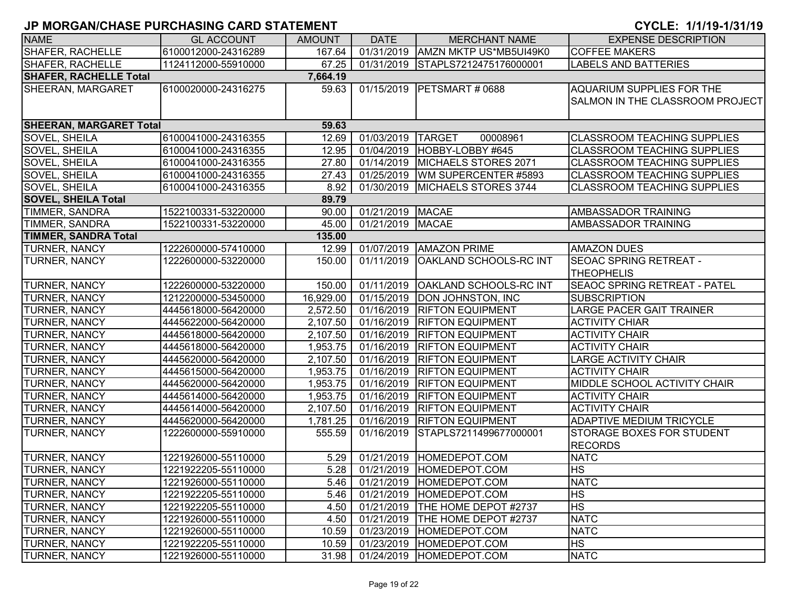| <b>NAME</b>                    | <b>GL ACCOUNT</b>   | <b>AMOUNT</b> | <b>DATE</b>      | <b>MERCHANT NAME</b>              | <b>EXPENSE DESCRIPTION</b>             |
|--------------------------------|---------------------|---------------|------------------|-----------------------------------|----------------------------------------|
| <b>SHAFER, RACHELLE</b>        | 6100012000-24316289 | 167.64        | 01/31/2019       | AMZN MKTP US*MB5UI49K0            | <b>COFFEE MAKERS</b>                   |
| SHAFER, RACHELLE               | 1124112000-55910000 | 67.25         | 01/31/2019       | STAPLS7212475176000001            | <b>LABELS AND BATTERIES</b>            |
| <b>SHAFER, RACHELLE Total</b>  |                     | 7,664.19      |                  |                                   |                                        |
| <b>SHEERAN, MARGARET</b>       | 6100020000-24316275 | 59.63         | 01/15/2019       | PETSMART # 0688                   | AQUARIUM SUPPLIES FOR THE              |
|                                |                     |               |                  |                                   | <b>SALMON IN THE CLASSROOM PROJECT</b> |
|                                |                     |               |                  |                                   |                                        |
| <b>SHEERAN, MARGARET Total</b> |                     | 59.63         |                  |                                   |                                        |
| <b>SOVEL, SHEILA</b>           | 6100041000-24316355 | 12.69         | 01/03/2019       | <b>TARGET</b><br>00008961         | <b>CLASSROOM TEACHING SUPPLIES</b>     |
| SOVEL, SHEILA                  | 6100041000-24316355 | 12.95         | 01/04/2019       | HOBBY-LOBBY #645                  | <b>CLASSROOM TEACHING SUPPLIES</b>     |
| <b>SOVEL, SHEILA</b>           | 6100041000-24316355 | 27.80         | 01/14/2019       | MICHAELS STORES 2071              | CLASSROOM TEACHING SUPPLIES            |
| <b>SOVEL, SHEILA</b>           | 6100041000-24316355 | 27.43         | 01/25/2019       | WM SUPERCENTER #5893              | <b>CLASSROOM TEACHING SUPPLIES</b>     |
| <b>SOVEL, SHEILA</b>           | 6100041000-24316355 | 8.92          | 01/30/2019       | MICHAELS STORES 3744              | <b>CLASSROOM TEACHING SUPPLIES</b>     |
| <b>SOVEL, SHEILA Total</b>     |                     | 89.79         |                  |                                   |                                        |
| TIMMER, SANDRA                 | 1522100331-53220000 | 90.00         | 01/21/2019 MACAE |                                   | AMBASSADOR TRAINING                    |
| TIMMER, SANDRA                 | 1522100331-53220000 | 45.00         | 01/21/2019       | <b>MACAE</b>                      | AMBASSADOR TRAINING                    |
| <b>TIMMER, SANDRA Total</b>    |                     | 135.00        |                  |                                   |                                        |
| <b>TURNER, NANCY</b>           | 1222600000-57410000 | 12.99         | 01/07/2019       | <b>AMAZON PRIME</b>               | <b>AMAZON DUES</b>                     |
| <b>TURNER, NANCY</b>           | 1222600000-53220000 | 150.00        | 01/11/2019       | OAKLAND SCHOOLS-RC INT            | <b>SEOAC SPRING RETREAT -</b>          |
|                                |                     |               |                  |                                   | <b>THEOPHELIS</b>                      |
| <b>TURNER, NANCY</b>           | 1222600000-53220000 | 150.00        | 01/11/2019       | <b>OAKLAND SCHOOLS-RC INT</b>     | <b>SEAOC SPRING RETREAT - PATEL</b>    |
| <b>TURNER, NANCY</b>           | 1212200000-53450000 | 16,929.00     | 01/15/2019       | <b>DON JOHNSTON, INC</b>          | <b>SUBSCRIPTION</b>                    |
| <b>TURNER, NANCY</b>           | 4445618000-56420000 | 2,572.50      | 01/16/2019       | <b>RIFTON EQUIPMENT</b>           | <b>LARGE PACER GAIT TRAINER</b>        |
| <b>TURNER, NANCY</b>           | 4445622000-56420000 | 2,107.50      | 01/16/2019       | <b>RIFTON EQUIPMENT</b>           | <b>ACTIVITY CHIAR</b>                  |
| <b>TURNER, NANCY</b>           | 4445618000-56420000 | 2,107.50      | 01/16/2019       | <b>RIFTON EQUIPMENT</b>           | <b>ACTIVITY CHAIR</b>                  |
| <b>TURNER, NANCY</b>           | 4445618000-56420000 | 1,953.75      | 01/16/2019       | <b>RIFTON EQUIPMENT</b>           | <b>ACTIVITY CHAIR</b>                  |
| <b>TURNER, NANCY</b>           | 4445620000-56420000 | 2,107.50      | 01/16/2019       | <b>RIFTON EQUIPMENT</b>           | <b>LARGE ACTIVITY CHAIR</b>            |
| <b>TURNER, NANCY</b>           | 4445615000-56420000 | 1,953.75      | 01/16/2019       | <b>RIFTON EQUIPMENT</b>           | <b>ACTIVITY CHAIR</b>                  |
| <b>TURNER, NANCY</b>           | 4445620000-56420000 | 1,953.75      | 01/16/2019       | <b>RIFTON EQUIPMENT</b>           | MIDDLE SCHOOL ACTIVITY CHAIR           |
| <b>TURNER, NANCY</b>           | 4445614000-56420000 | 1,953.75      | 01/16/2019       | <b>RIFTON EQUIPMENT</b>           | <b>ACTIVITY CHAIR</b>                  |
| <b>TURNER, NANCY</b>           | 4445614000-56420000 | 2,107.50      | 01/16/2019       | <b>RIFTON EQUIPMENT</b>           | <b>ACTIVITY CHAIR</b>                  |
| TURNER, NANCY                  | 4445620000-56420000 | 1,781.25      | 01/16/2019       | <b>RIFTON EQUIPMENT</b>           | ADAPTIVE MEDIUM TRICYCLE               |
| <b>TURNER, NANCY</b>           | 1222600000-55910000 | 555.59        | 01/16/2019       | STAPLS7211499677000001            | STORAGE BOXES FOR STUDENT              |
|                                |                     |               |                  |                                   | <b>RECORDS</b>                         |
| <b>TURNER, NANCY</b>           | 1221926000-55110000 | 5.29          | 01/21/2019       | HOMEDEPOT.COM                     | <b>NATC</b>                            |
| <b>TURNER, NANCY</b>           | 1221922205-55110000 | 5.28          |                  | 01/21/2019 HOMEDEPOT.COM          | <b>HS</b>                              |
| <b>TURNER, NANCY</b>           | 1221926000-55110000 | 5.46          |                  | 01/21/2019 HOMEDEPOT.COM          | <b>NATC</b>                            |
| <b>TURNER, NANCY</b>           | 1221922205-55110000 | 5.46          | 01/21/2019       | HOMEDEPOT.COM                     | <b>HS</b>                              |
| TURNER, NANCY                  | 1221922205-55110000 | 4.50          |                  | 01/21/2019   THE HOME DEPOT #2737 | <b>HS</b>                              |
| <b>TURNER, NANCY</b>           | 1221926000-55110000 | 4.50          | 01/21/2019       | THE HOME DEPOT #2737              | <b>NATC</b>                            |
| <b>TURNER, NANCY</b>           | 1221926000-55110000 | 10.59         | 01/23/2019       | HOMEDEPOT.COM                     | <b>NATC</b>                            |
| <b>TURNER, NANCY</b>           | 1221922205-55110000 | 10.59         | 01/23/2019       | HOMEDEPOT.COM                     | <b>HS</b>                              |
| <b>TURNER, NANCY</b>           | 1221926000-55110000 | 31.98         |                  | 01/24/2019 HOMEDEPOT.COM          | <b>NATC</b>                            |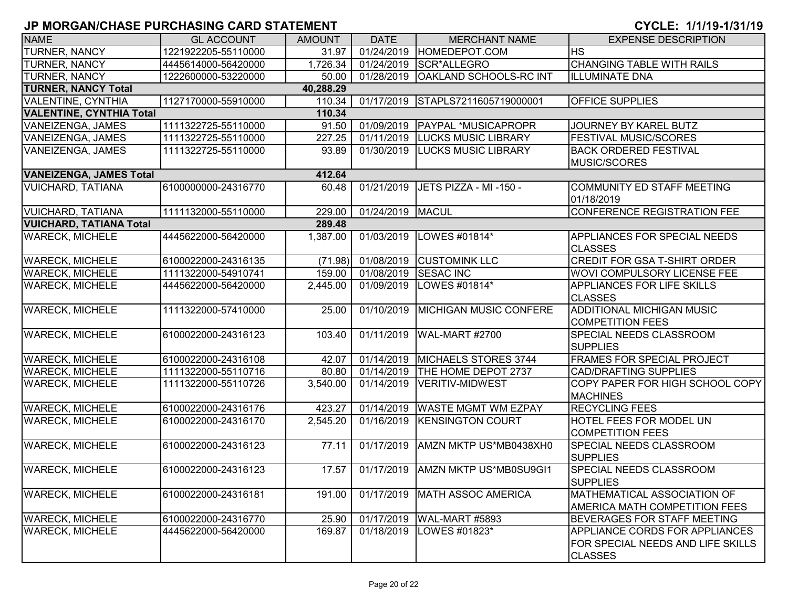| <b>NAME</b>                     | <b>GL ACCOUNT</b>   | <b>AMOUNT</b> | <b>DATE</b>        | <b>MERCHANT NAME</b>              | <b>EXPENSE DESCRIPTION</b>                                                                   |
|---------------------------------|---------------------|---------------|--------------------|-----------------------------------|----------------------------------------------------------------------------------------------|
| <b>TURNER, NANCY</b>            | 1221922205-55110000 | 31.97         | 01/24/2019         | HOMEDEPOT.COM                     | $H\overline{\mathsf{S}}$                                                                     |
| <b>TURNER, NANCY</b>            | 4445614000-56420000 | 1,726.34      | 01/24/2019         | SCR*ALLEGRO                       | <b>CHANGING TABLE WITH RAILS</b>                                                             |
| <b>TURNER, NANCY</b>            | 1222600000-53220000 | 50.00         | 01/28/2019         | <b>OAKLAND SCHOOLS-RC INT</b>     | <b>ILLUMINATE DNA</b>                                                                        |
| <b>TURNER, NANCY Total</b>      |                     | 40,288.29     |                    |                                   |                                                                                              |
| <b>VALENTINE, CYNTHIA</b>       | 1127170000-55910000 | 110.34        |                    | 01/17/2019 STAPLS7211605719000001 | <b>OFFICE SUPPLIES</b>                                                                       |
| <b>VALENTINE, CYNTHIA Total</b> |                     | 110.34        |                    |                                   |                                                                                              |
| VANEIZENGA, JAMES               | 1111322725-55110000 | 91.50         | 01/09/2019         | <b>PAYPAL *MUSICAPROPR</b>        | JOURNEY BY KAREL BUTZ                                                                        |
| VANEIZENGA, JAMES               | 1111322725-55110000 | 227.25        | 01/11/2019         | <b>LUCKS MUSIC LIBRARY</b>        | <b>FESTIVAL MUSIC/SCORES</b>                                                                 |
| VANEIZENGA, JAMES               | 1111322725-55110000 | 93.89         | 01/30/2019         | <b>LUCKS MUSIC LIBRARY</b>        | <b>BACK ORDERED FESTIVAL</b><br>MUSIC/SCORES                                                 |
| <b>VANEIZENGA, JAMES Total</b>  |                     | 412.64        |                    |                                   |                                                                                              |
| <b>VUICHARD, TATIANA</b>        | 6100000000-24316770 | 60.48         | 01/21/2019         | JETS PIZZA - MI -150 -            | COMMUNITY ED STAFF MEETING<br>01/18/2019                                                     |
| <b>VUICHARD, TATIANA</b>        | 1111132000-55110000 | 229.00        | 01/24/2019   MACUL |                                   | CONFERENCE REGISTRATION FEE                                                                  |
| <b>VUICHARD, TATIANA Total</b>  |                     | 289.48        |                    |                                   |                                                                                              |
| <b>WARECK, MICHELE</b>          | 4445622000-56420000 | 1,387.00      | 01/03/2019         | LOWES #01814*                     | <b>APPLIANCES FOR SPECIAL NEEDS</b><br><b>CLASSES</b>                                        |
| <b>WARECK, MICHELE</b>          | 6100022000-24316135 |               | (71.98) 01/08/2019 | <b>CUSTOMINK LLC</b>              | <b>CREDIT FOR GSA T-SHIRT ORDER</b>                                                          |
| <b>WARECK, MICHELE</b>          | 1111322000-54910741 | 159.00        | 01/08/2019         | <b>SESAC INC</b>                  | WOVI COMPULSORY LICENSE FEE                                                                  |
| <b>WARECK, MICHELE</b>          | 4445622000-56420000 | 2,445.00      | 01/09/2019         | LOWES #01814*                     | <b>APPLIANCES FOR LIFE SKILLS</b><br><b>CLASSES</b>                                          |
| <b>WARECK, MICHELE</b>          | 1111322000-57410000 | 25.00         |                    | 01/10/2019 MICHIGAN MUSIC CONFERE | ADDITIONAL MICHIGAN MUSIC<br><b>COMPETITION FEES</b>                                         |
| <b>WARECK, MICHELE</b>          | 6100022000-24316123 | 103.40        | 01/11/2019         | WAL-MART #2700                    | SPECIAL NEEDS CLASSROOM<br><b>SUPPLIES</b>                                                   |
| <b>WARECK, MICHELE</b>          | 6100022000-24316108 | 42.07         | 01/14/2019         | MICHAELS STORES 3744              | <b>FRAMES FOR SPECIAL PROJECT</b>                                                            |
| <b>WARECK, MICHELE</b>          | 1111322000-55110716 | 80.80         | 01/14/2019         | THE HOME DEPOT 2737               | <b>CAD/DRAFTING SUPPLIES</b>                                                                 |
| <b>WARECK, MICHELE</b>          | 1111322000-55110726 | 3,540.00      | 01/14/2019         | VERITIV-MIDWEST                   | COPY PAPER FOR HIGH SCHOOL COPY<br><b>MACHINES</b>                                           |
| <b>WARECK, MICHELE</b>          | 6100022000-24316176 | 423.27        |                    | 01/14/2019 WASTE MGMT WM EZPAY    | <b>RECYCLING FEES</b>                                                                        |
| <b>WARECK, MICHELE</b>          | 6100022000-24316170 | 2,545.20      |                    | 01/16/2019 KENSINGTON COURT       | <b>HOTEL FEES FOR MODEL UN</b><br><b>COMPETITION FEES</b>                                    |
| <b>WARECK, MICHELE</b>          | 6100022000-24316123 | 77.11         | 01/17/2019         | AMZN MKTP US*MB0438XH0            | SPECIAL NEEDS CLASSROOM<br><b>SUPPLIES</b>                                                   |
| <b>WARECK, MICHELE</b>          | 6100022000-24316123 | 17.57         |                    | 01/17/2019 AMZN MKTP US*MB0SU9GI1 | <b>SPECIAL NEEDS CLASSROOM</b><br><b>SUPPLIES</b>                                            |
| <b>WARECK, MICHELE</b>          | 6100022000-24316181 | 191.00        | 01/17/2019         | MATH ASSOC AMERICA                | <b>MATHEMATICAL ASSOCIATION OF</b><br>AMERICA MATH COMPETITION FEES                          |
| <b>WARECK, MICHELE</b>          | 6100022000-24316770 | 25.90         | 01/17/2019         | WAL-MART #5893                    | <b>BEVERAGES FOR STAFF MEETING</b>                                                           |
| <b>WARECK, MICHELE</b>          | 4445622000-56420000 | 169.87        | 01/18/2019         | LOWES #01823*                     | <b>APPLIANCE CORDS FOR APPLIANCES</b><br>FOR SPECIAL NEEDS AND LIFE SKILLS<br><b>CLASSES</b> |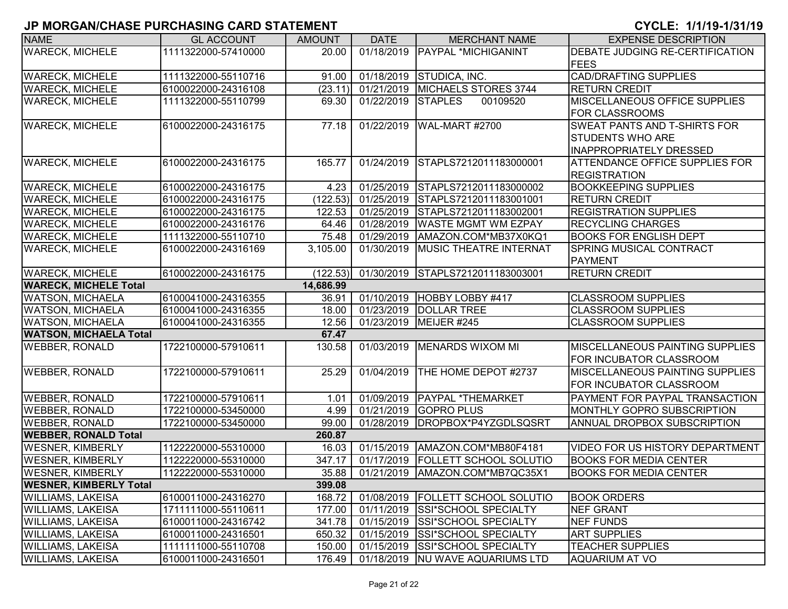| <b>NAME</b>                   | <b>GL ACCOUNT</b>                         | <b>AMOUNT</b>         | <b>DATE</b> | <b>MERCHANT NAME</b>              | <b>EXPENSE DESCRIPTION</b>             |  |  |  |
|-------------------------------|-------------------------------------------|-----------------------|-------------|-----------------------------------|----------------------------------------|--|--|--|
| <b>WARECK, MICHELE</b>        | 1111322000-57410000                       | 20.00                 | 01/18/2019  | PAYPAL *MICHIGANINT               | DEBATE JUDGING RE-CERTIFICATION        |  |  |  |
|                               |                                           |                       |             |                                   | <b>FEES</b>                            |  |  |  |
| <b>WARECK, MICHELE</b>        | 1111322000-55110716                       | 91.00                 | 01/18/2019  | STUDICA, INC.                     | <b>CAD/DRAFTING SUPPLIES</b>           |  |  |  |
| <b>WARECK, MICHELE</b>        | 6100022000-24316108                       | (23.11)               | 01/21/2019  | <b>MICHAELS STORES 3744</b>       | <b>RETURN CREDIT</b>                   |  |  |  |
| <b>WARECK, MICHELE</b>        | 1111322000-55110799                       | 69.30                 | 01/22/2019  | <b>STAPLES</b><br>00109520        | MISCELLANEOUS OFFICE SUPPLIES          |  |  |  |
|                               |                                           |                       |             |                                   | <b>FOR CLASSROOMS</b>                  |  |  |  |
| <b>WARECK, MICHELE</b>        | 6100022000-24316175                       | 77.18                 | 01/22/2019  | WAL-MART #2700                    | <b>SWEAT PANTS AND T-SHIRTS FOR</b>    |  |  |  |
|                               |                                           |                       |             |                                   | <b>STUDENTS WHO ARE</b>                |  |  |  |
|                               |                                           |                       |             |                                   | <b>INAPPROPRIATELY DRESSED</b>         |  |  |  |
| <b>WARECK, MICHELE</b>        | 6100022000-24316175                       | 165.77                | 01/24/2019  | STAPLS7212011183000001            | <b>ATTENDANCE OFFICE SUPPLIES FOR</b>  |  |  |  |
|                               |                                           |                       |             |                                   | <b>REGISTRATION</b>                    |  |  |  |
| <b>WARECK, MICHELE</b>        | 6100022000-24316175                       | 4.23                  | 01/25/2019  | STAPLS7212011183000002            | <b>BOOKKEEPING SUPPLIES</b>            |  |  |  |
| <b>WARECK, MICHELE</b>        | 6100022000-24316175                       | (122.53)              | 01/25/2019  | STAPLS7212011183001001            | <b>RETURN CREDIT</b>                   |  |  |  |
| <b>WARECK, MICHELE</b>        | 6100022000-24316175                       | 122.53                | 01/25/2019  | STAPLS7212011183002001            | <b>REGISTRATION SUPPLIES</b>           |  |  |  |
| <b>WARECK, MICHELE</b>        | 6100022000-24316176                       | 64.46                 | 01/28/2019  | <b>WASTE MGMT WM EZPAY</b>        | <b>RECYCLING CHARGES</b>               |  |  |  |
| <b>WARECK, MICHELE</b>        | 1111322000-55110710                       | 75.48                 | 01/29/2019  | AMAZON.COM*MB37X0KQ1              | <b>BOOKS FOR ENGLISH DEPT</b>          |  |  |  |
| <b>WARECK, MICHELE</b>        | 6100022000-24316169                       | $\overline{3,}105.00$ | 01/30/2019  | <b>MUSIC THEATRE INTERNAT</b>     | <b>SPRING MUSICAL CONTRACT</b>         |  |  |  |
|                               |                                           |                       |             |                                   | <b>PAYMENT</b>                         |  |  |  |
| <b>WARECK, MICHELE</b>        | 6100022000-24316175                       | (122.53)              | 01/30/2019  | STAPLS7212011183003001            | <b>RETURN CREDIT</b>                   |  |  |  |
|                               | <b>WARECK, MICHELE Total</b><br>14,686.99 |                       |             |                                   |                                        |  |  |  |
| <b>WATSON, MICHAELA</b>       | 6100041000-24316355                       | 36.91                 | 01/10/2019  | HOBBY LOBBY #417                  | <b>CLASSROOM SUPPLIES</b>              |  |  |  |
| <b>WATSON, MICHAELA</b>       | 6100041000-24316355                       | 18.00                 | 01/23/2019  | <b>DOLLAR TREE</b>                | <b>CLASSROOM SUPPLIES</b>              |  |  |  |
| <b>WATSON, MICHAELA</b>       | 6100041000-24316355                       | 12.56                 | 01/23/2019  | MEIJER #245                       | <b>CLASSROOM SUPPLIES</b>              |  |  |  |
| <b>WATSON, MICHAELA Total</b> |                                           | 67.47                 |             |                                   |                                        |  |  |  |
| <b>WEBBER, RONALD</b>         | 1722100000-57910611                       | 130.58                | 01/03/2019  | MENARDS WIXOM MI                  | <b>MISCELLANEOUS PAINTING SUPPLIES</b> |  |  |  |
|                               |                                           |                       |             |                                   | FOR INCUBATOR CLASSROOM                |  |  |  |
| <b>WEBBER, RONALD</b>         | 1722100000-57910611                       | 25.29                 | 01/04/2019  | THE HOME DEPOT #2737              | <b>MISCELLANEOUS PAINTING SUPPLIES</b> |  |  |  |
|                               |                                           |                       |             |                                   | FOR INCUBATOR CLASSROOM                |  |  |  |
| <b>WEBBER, RONALD</b>         | 1722100000-57910611                       | 1.01                  | 01/09/2019  | <b>PAYPAL *THEMARKET</b>          | PAYMENT FOR PAYPAL TRANSACTION         |  |  |  |
| <b>WEBBER, RONALD</b>         | 1722100000-53450000                       | 4.99                  | 01/21/2019  | <b>GOPRO PLUS</b>                 | MONTHLY GOPRO SUBSCRIPTION             |  |  |  |
| <b>WEBBER, RONALD</b>         | 1722100000-53450000                       | 99.00                 | 01/28/2019  | DROPBOX*P4YZGDLSQSRT              | ANNUAL DROPBOX SUBSCRIPTION            |  |  |  |
| <b>WEBBER, RONALD Total</b>   |                                           | 260.87                |             |                                   |                                        |  |  |  |
| <b>WESNER, KIMBERLY</b>       | 1122220000-55310000                       | 16.03                 | 01/15/2019  | AMAZON.COM*MB80F4181              | <b>VIDEO FOR US HISTORY DEPARTMENT</b> |  |  |  |
| <b>WESNER, KIMBERLY</b>       | 1122220000-55310000                       | 347.17                | 01/17/2019  | <b>FOLLETT SCHOOL SOLUTIO</b>     | <b>BOOKS FOR MEDIA CENTER</b>          |  |  |  |
| <b>WESNER, KIMBERLY</b>       | 1122220000-55310000                       | 35.88                 | 01/21/2019  | AMAZON.COM*MB7QC35X1              | <b>BOOKS FOR MEDIA CENTER</b>          |  |  |  |
| <b>WESNER, KIMBERLY Total</b> |                                           | 399.08                |             |                                   |                                        |  |  |  |
| <b>WILLIAMS, LAKEISA</b>      | 6100011000-24316270                       | 168.72                | 01/08/2019  | <b>FOLLETT SCHOOL SOLUTIO</b>     | <b>BOOK ORDERS</b>                     |  |  |  |
| <b>WILLIAMS, LAKEISA</b>      | 1711111000-55110611                       | 177.00                | 01/11/2019  | <b>SSI*SCHOOL SPECIALTY</b>       | <b>NEF GRANT</b>                       |  |  |  |
| <b>WILLIAMS, LAKEISA</b>      | 6100011000-24316742                       | 341.78                | 01/15/2019  | <b>SSI*SCHOOL SPECIALTY</b>       | <b>NEF FUNDS</b>                       |  |  |  |
| <b>WILLIAMS, LAKEISA</b>      | 6100011000-24316501                       | 650.32                | 01/15/2019  | <b>SSI*SCHOOL SPECIALTY</b>       | <b>ART SUPPLIES</b>                    |  |  |  |
| <b>WILLIAMS, LAKEISA</b>      | 1111111000-55110708                       | 150.00                | 01/15/2019  | <b>SSI*SCHOOL SPECIALTY</b>       | <b>TEACHER SUPPLIES</b>                |  |  |  |
| <b>WILLIAMS, LAKEISA</b>      | 6100011000-24316501                       | 176.49                |             | 01/18/2019  NU WAVE AQUARIUMS LTD | <b>AQUARIUM AT VO</b>                  |  |  |  |